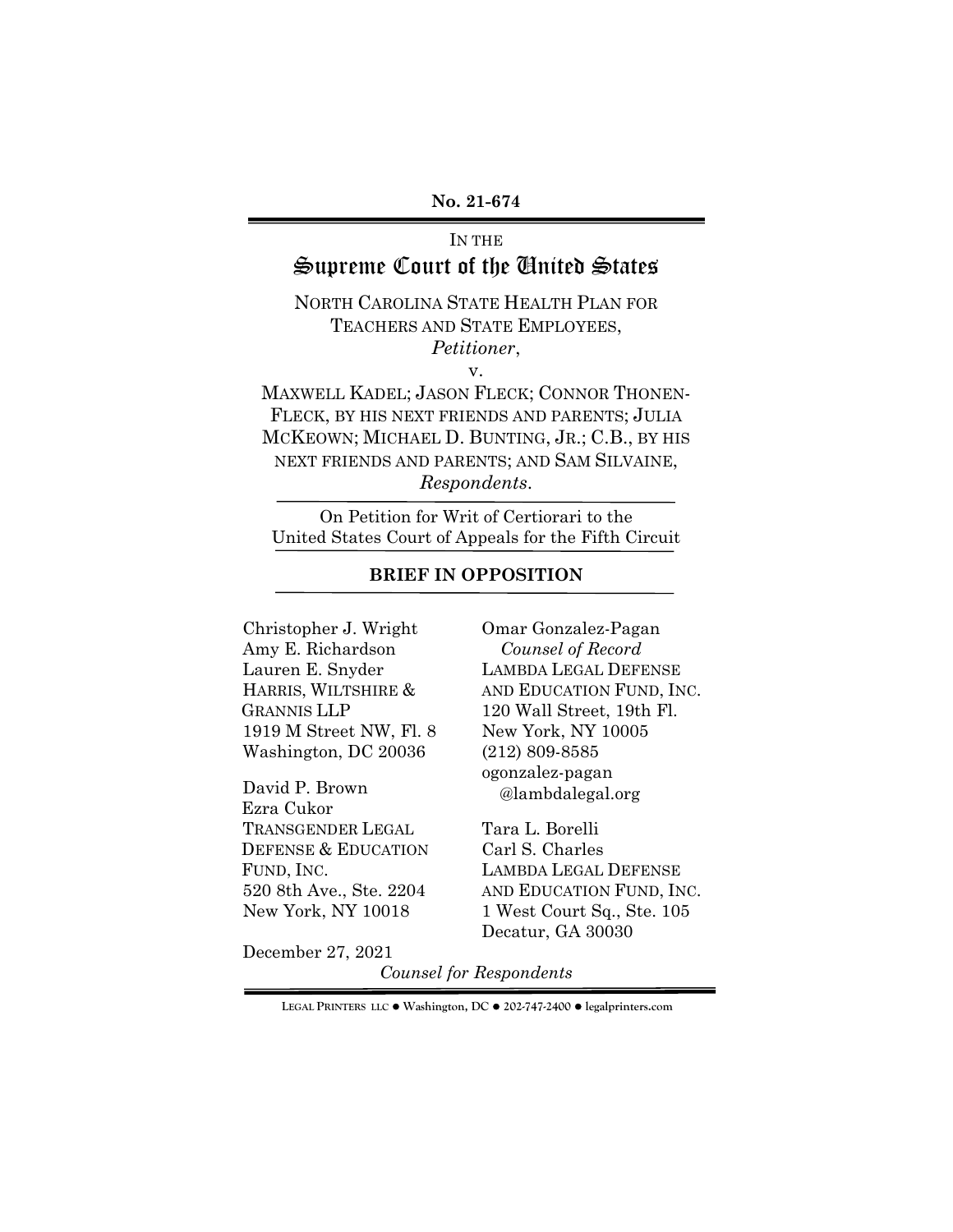#### **No. 21-674**

# IN THE Supreme Court of the United States

NORTH CAROLINA STATE HEALTH PLAN FOR TEACHERS AND STATE EMPLOYEES, *Petitioner*,

v.

MAXWELL KADEL; JASON FLECK; CONNOR THONEN-FLECK, BY HIS NEXT FRIENDS AND PARENTS; JULIA MCKEOWN; MICHAEL D. BUNTING, JR.; C.B., BY HIS NEXT FRIENDS AND PARENTS; AND SAM SILVAINE, *Respondents*.

On Petition for Writ of Certiorari to the United States Court of Appeals for the Fifth Circuit

## **BRIEF IN OPPOSITION**

Christopher J. Wright Amy E. Richardson Lauren E. Snyder HARRIS, WILTSHIRE & GRANNIS LLP 1919 M Street NW, Fl. 8 Washington, DC 20036

David P. Brown Ezra Cukor TRANSGENDER LEGAL DEFENSE & EDUCATION FUND, INC. 520 8th Ave., Ste. 2204 New York, NY 10018

Omar Gonzalez-Pagan *Counsel of Record* LAMBDA LEGAL DEFENSE AND EDUCATION FUND, INC. 120 Wall Street, 19th Fl. New York, NY 10005 (212) 809-8585 ogonzalez-pagan @lambdalegal.org

Tara L. Borelli Carl S. Charles LAMBDA LEGAL DEFENSE AND EDUCATION FUND, INC. 1 West Court Sq., Ste. 105 Decatur, GA 30030

December 27, 2021

*Counsel for Respondents*

**LEGAL PRINTERS LLC** ! **Washington, DC** ! **202-747-2400** ! **legalprinters.com**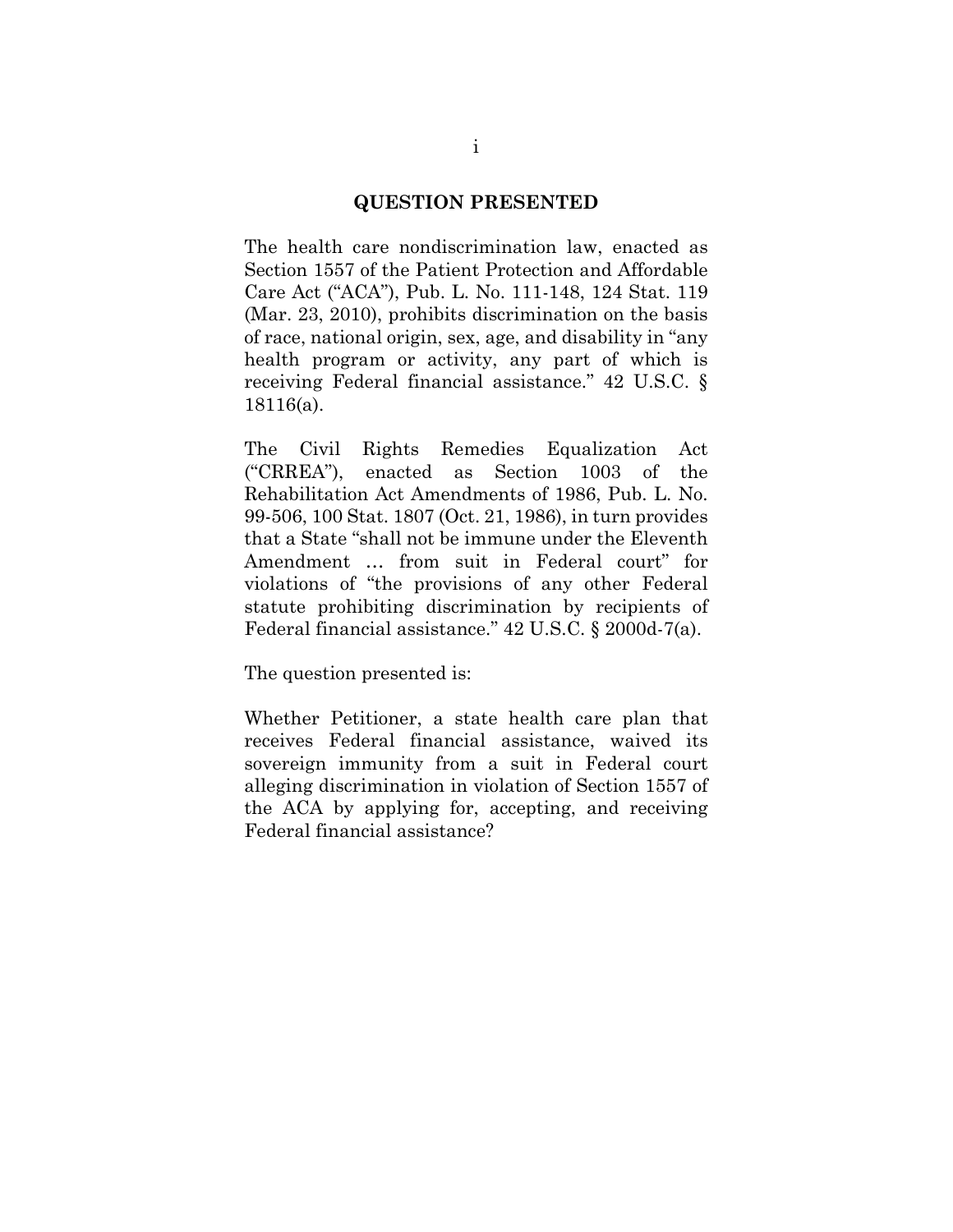#### **QUESTION PRESENTED**

<span id="page-1-0"></span>The health care nondiscrimination law, enacted as Section 1557 of the Patient Protection and Affordable Care Act ("ACA"), Pub. L. No. 111-148, 124 Stat. 119 (Mar. 23, 2010), prohibits discrimination on the basis of race, national origin, sex, age, and disability in "any health program or activity, any part of which is receiving Federal financial assistance." 42 U.S.C. § 18116(a).

The Civil Rights Remedies Equalization Act ("CRREA"), enacted as Section 1003 of the Rehabilitation Act Amendments of 1986, Pub. L. No. 99-506, 100 Stat. 1807 (Oct. 21, 1986), in turn provides that a State "shall not be immune under the Eleventh Amendment … from suit in Federal court" for violations of "the provisions of any other Federal statute prohibiting discrimination by recipients of Federal financial assistance." 42 U.S.C. § 2000d-7(a).

The question presented is:

Whether Petitioner, a state health care plan that receives Federal financial assistance, waived its sovereign immunity from a suit in Federal court alleging discrimination in violation of Section 1557 of the ACA by applying for, accepting, and receiving Federal financial assistance?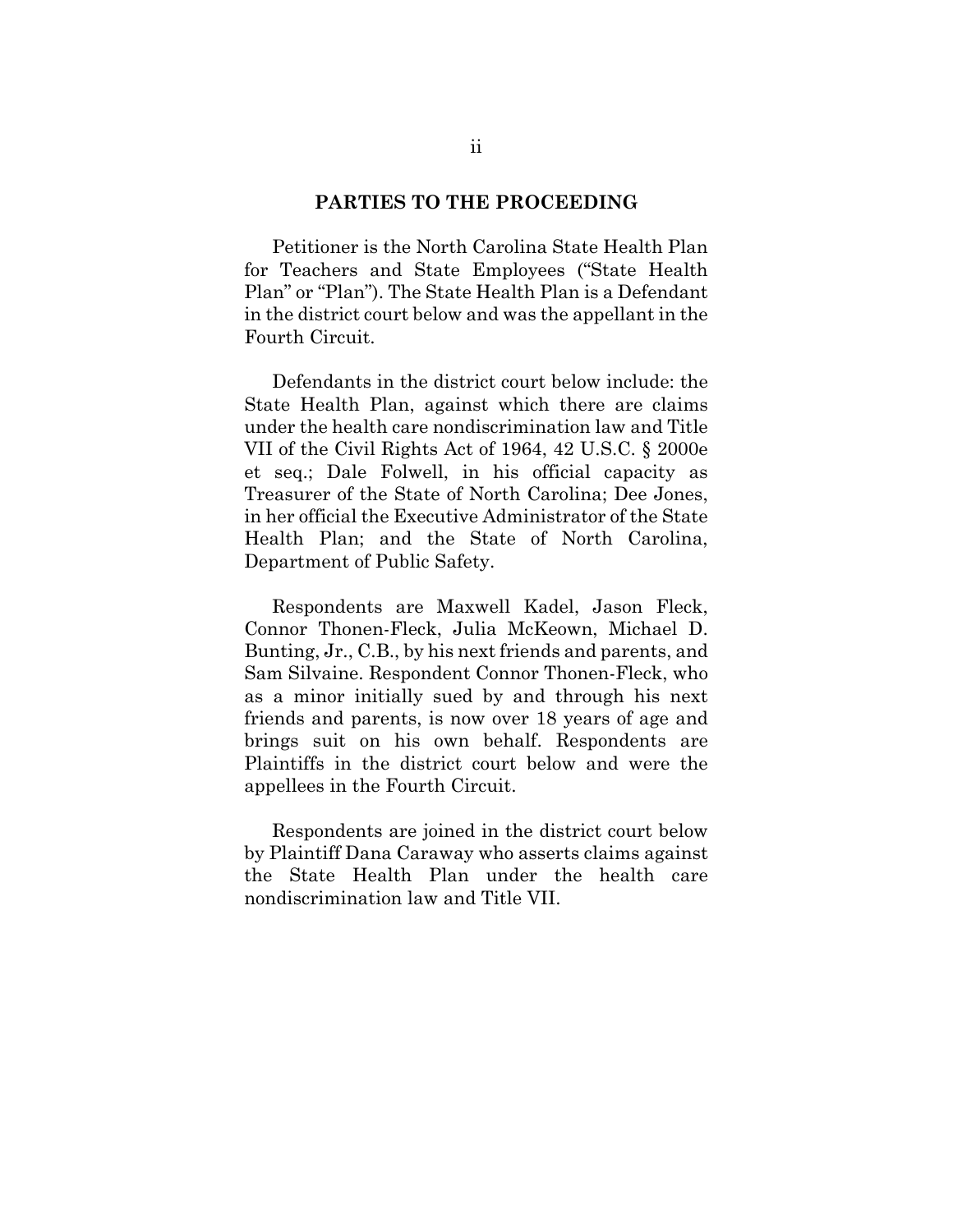#### **PARTIES TO THE PROCEEDING**

<span id="page-2-0"></span>Petitioner is the North Carolina State Health Plan for Teachers and State Employees ("State Health Plan" or "Plan"). The State Health Plan is a Defendant in the district court below and was the appellant in the Fourth Circuit.

Defendants in the district court below include: the State Health Plan, against which there are claims under the health care nondiscrimination law and Title VII of the Civil Rights Act of 1964, 42 U.S.C. § 2000e et seq.; Dale Folwell, in his official capacity as Treasurer of the State of North Carolina; Dee Jones, in her official the Executive Administrator of the State Health Plan; and the State of North Carolina, Department of Public Safety.

Respondents are Maxwell Kadel, Jason Fleck, Connor Thonen-Fleck, Julia McKeown, Michael D. Bunting, Jr., C.B., by his next friends and parents, and Sam Silvaine. Respondent Connor Thonen-Fleck, who as a minor initially sued by and through his next friends and parents, is now over 18 years of age and brings suit on his own behalf. Respondents are Plaintiffs in the district court below and were the appellees in the Fourth Circuit.

Respondents are joined in the district court below by Plaintiff Dana Caraway who asserts claims against the State Health Plan under the health care nondiscrimination law and Title VII.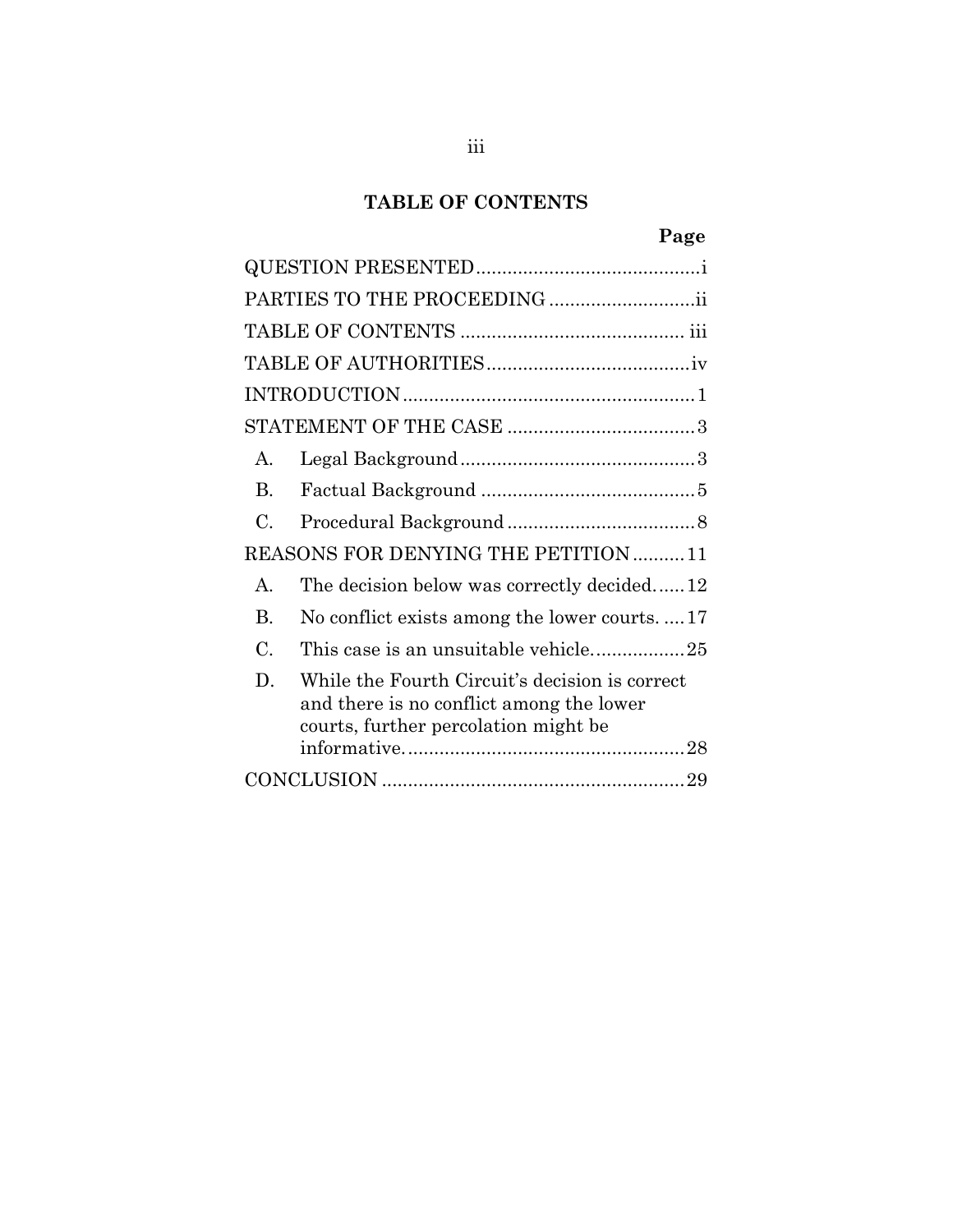# **TABLE OF CONTENTS**

# **Page**

<span id="page-3-0"></span>

| PARTIES TO THE PROCEEDING ii                                                                                                             |
|------------------------------------------------------------------------------------------------------------------------------------------|
|                                                                                                                                          |
|                                                                                                                                          |
|                                                                                                                                          |
|                                                                                                                                          |
| $\mathbf{A}$                                                                                                                             |
| <b>B.</b>                                                                                                                                |
| C.                                                                                                                                       |
| REASONS FOR DENYING THE PETITION 11                                                                                                      |
| The decision below was correctly decided12<br>$\mathsf{A}$                                                                               |
| <b>B.</b><br>No conflict exists among the lower courts17                                                                                 |
| C.                                                                                                                                       |
| D.<br>While the Fourth Circuit's decision is correct<br>and there is no conflict among the lower<br>courts, further percolation might be |
|                                                                                                                                          |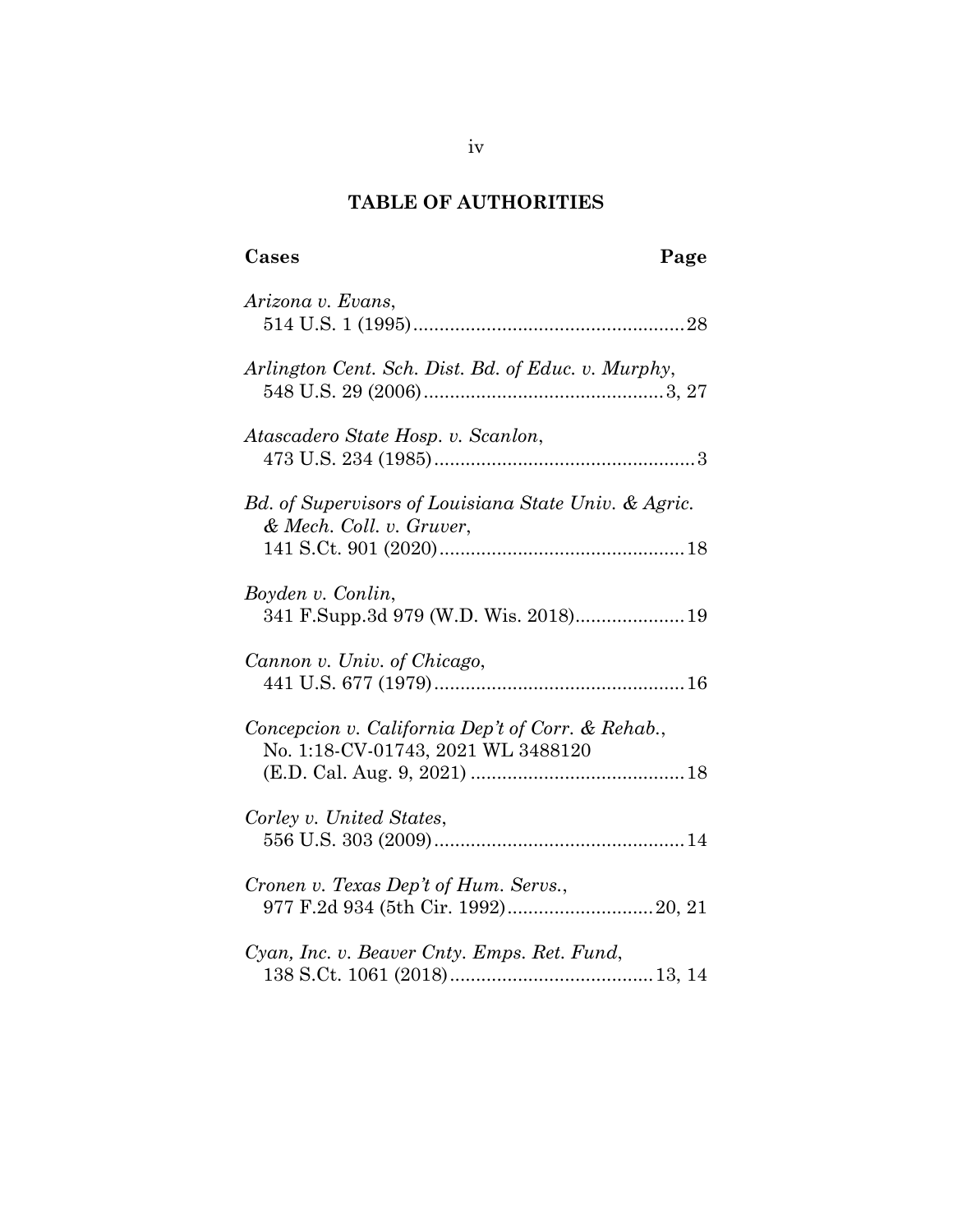# **TABLE OF AUTHORITIES**

# <span id="page-4-0"></span>**Cases Page**

| Arizona v. Evans,                                                                       |
|-----------------------------------------------------------------------------------------|
| Arlington Cent. Sch. Dist. Bd. of Educ. v. Murphy,                                      |
| Atascadero State Hosp. v. Scanlon,                                                      |
| Bd. of Supervisors of Louisiana State Univ. & Agric.<br>& Mech. Coll. v. Gruver,        |
| Boyden v. Conlin,                                                                       |
|                                                                                         |
| Cannon v. Univ. of Chicago,                                                             |
| Concepcion v. California Dep't of Corr. & Rehab.,<br>No. 1:18-CV-01743, 2021 WL 3488120 |
| Corley v. United States,                                                                |
| Cronen v. Texas Dep't of Hum. Servs.,                                                   |
| Cyan, Inc. v. Beaver Cnty. Emps. Ret. Fund,                                             |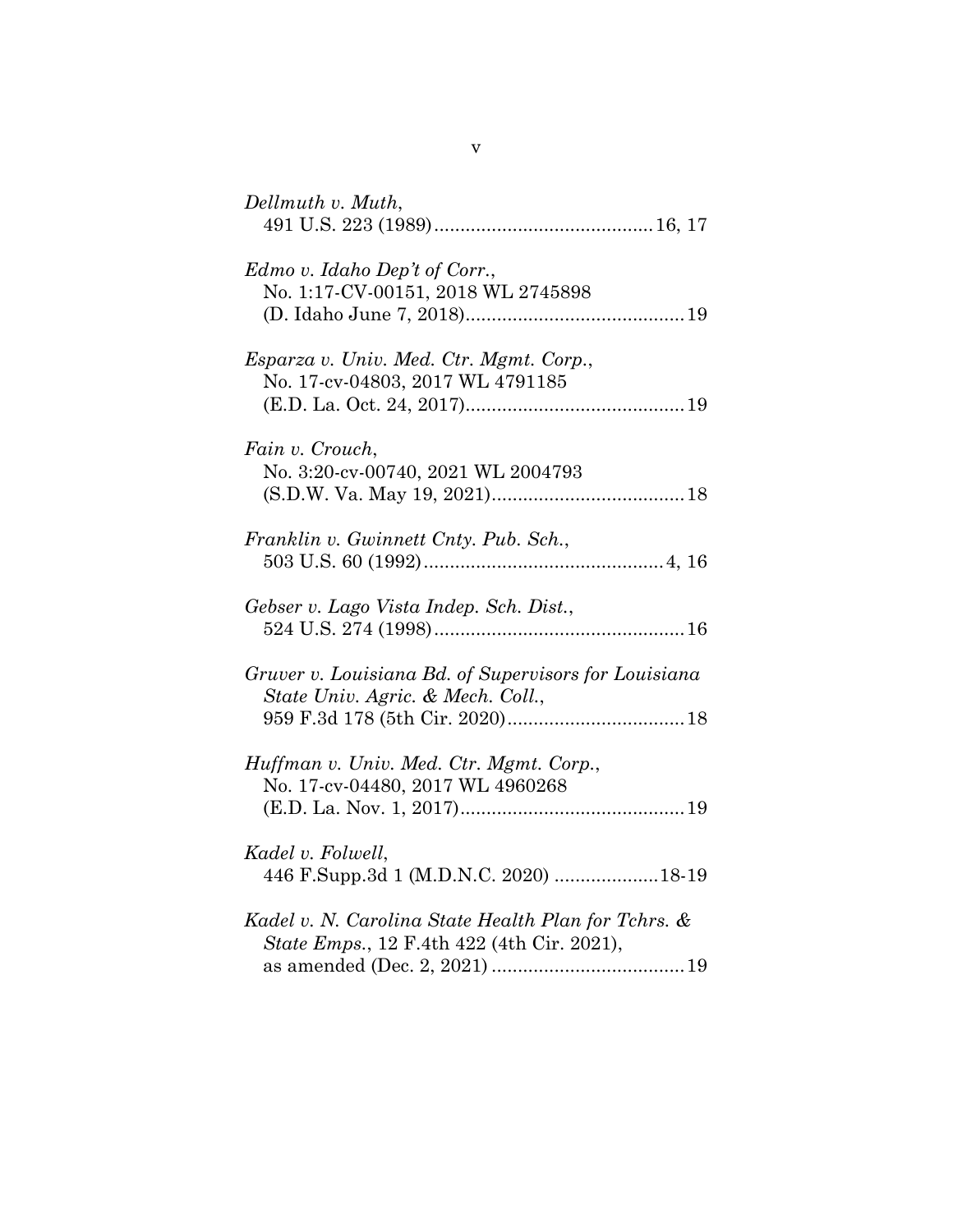| Dellmuth v. Muth,                                                                                 |
|---------------------------------------------------------------------------------------------------|
| Edmo v. Idaho Dep't of Corr.,<br>No. 1:17-CV-00151, 2018 WL 2745898                               |
| Esparza v. Univ. Med. Ctr. Mgmt. Corp.,<br>No. 17-cv-04803, 2017 WL 4791185                       |
| Fain v. Crouch,<br>No. 3:20-cv-00740, 2021 WL 2004793                                             |
| Franklin v. Gwinnett Cnty. Pub. Sch.,                                                             |
| Gebser v. Lago Vista Indep. Sch. Dist.,                                                           |
| Gruver v. Louisiana Bd. of Supervisors for Louisiana<br>State Univ. Agric. & Mech. Coll.,         |
| Huffman v. Univ. Med. Ctr. Mgmt. Corp.,<br>No. 17-cv-04480, 2017 WL 4960268                       |
| Kadel v. Folwell,<br>446 F.Supp.3d 1 (M.D.N.C. 2020) 18-19                                        |
| Kadel v. N. Carolina State Health Plan for Tchrs. &<br>State Emps., 12 F.4th 422 (4th Cir. 2021), |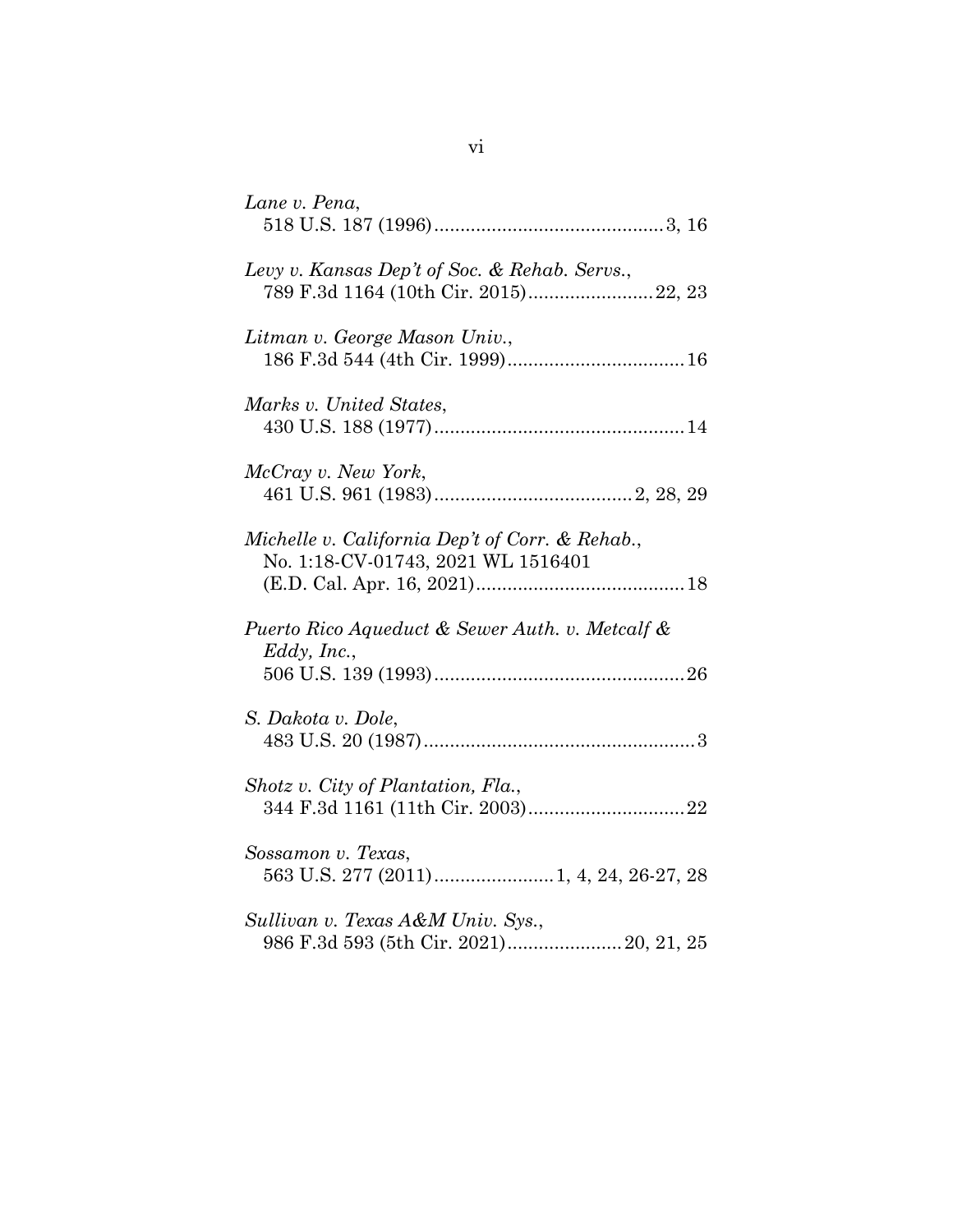| Lane v. Pena,                                                                          |
|----------------------------------------------------------------------------------------|
| Levy v. Kansas Dep't of Soc. & Rehab. Servs.,<br>789 F.3d 1164 (10th Cir. 2015) 22, 23 |
| Litman v. George Mason Univ.,                                                          |
| Marks v. United States,                                                                |
| McCray v. New York,                                                                    |
| Michelle v. California Dep't of Corr. & Rehab.,<br>No. 1:18-CV-01743, 2021 WL 1516401  |
| Puerto Rico Aqueduct & Sewer Auth. v. Metcalf &<br>Eddy, Inc.,                         |
| S. Dakota v. Dole,                                                                     |
| Shotz v. City of Plantation, Fla.,                                                     |
| Sossamon v. Texas,                                                                     |
| Sullivan v. Texas A&M Univ. Sys.,<br>986 F.3d 593 (5th Cir. 2021) 20, 21, 25           |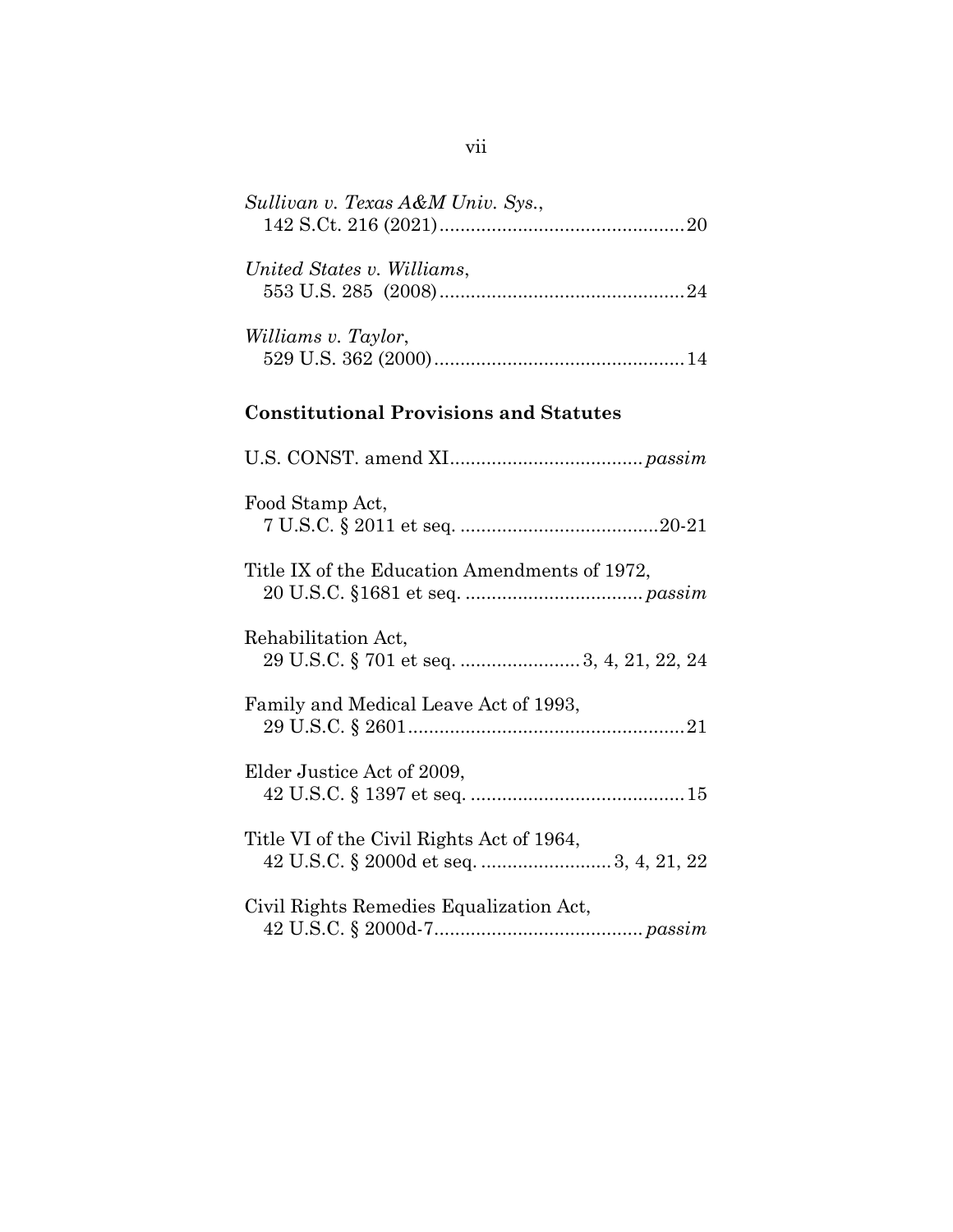| Sullivan v. Texas A&M Univ. Sys.,                                |
|------------------------------------------------------------------|
| United States v. Williams,                                       |
| Williams v. Taylor,                                              |
| <b>Constitutional Provisions and Statutes</b>                    |
|                                                                  |
| Food Stamp Act,                                                  |
| Title IX of the Education Amendments of 1972,                    |
| Rehabilitation Act,<br>29 U.S.C. § 701 et seq.  3, 4, 21, 22, 24 |
| Family and Medical Leave Act of 1993,                            |
| Elder Justice Act of 2009,                                       |
| Title VI of the Civil Rights Act of 1964,                        |
| Civil Rights Remedies Equalization Act,                          |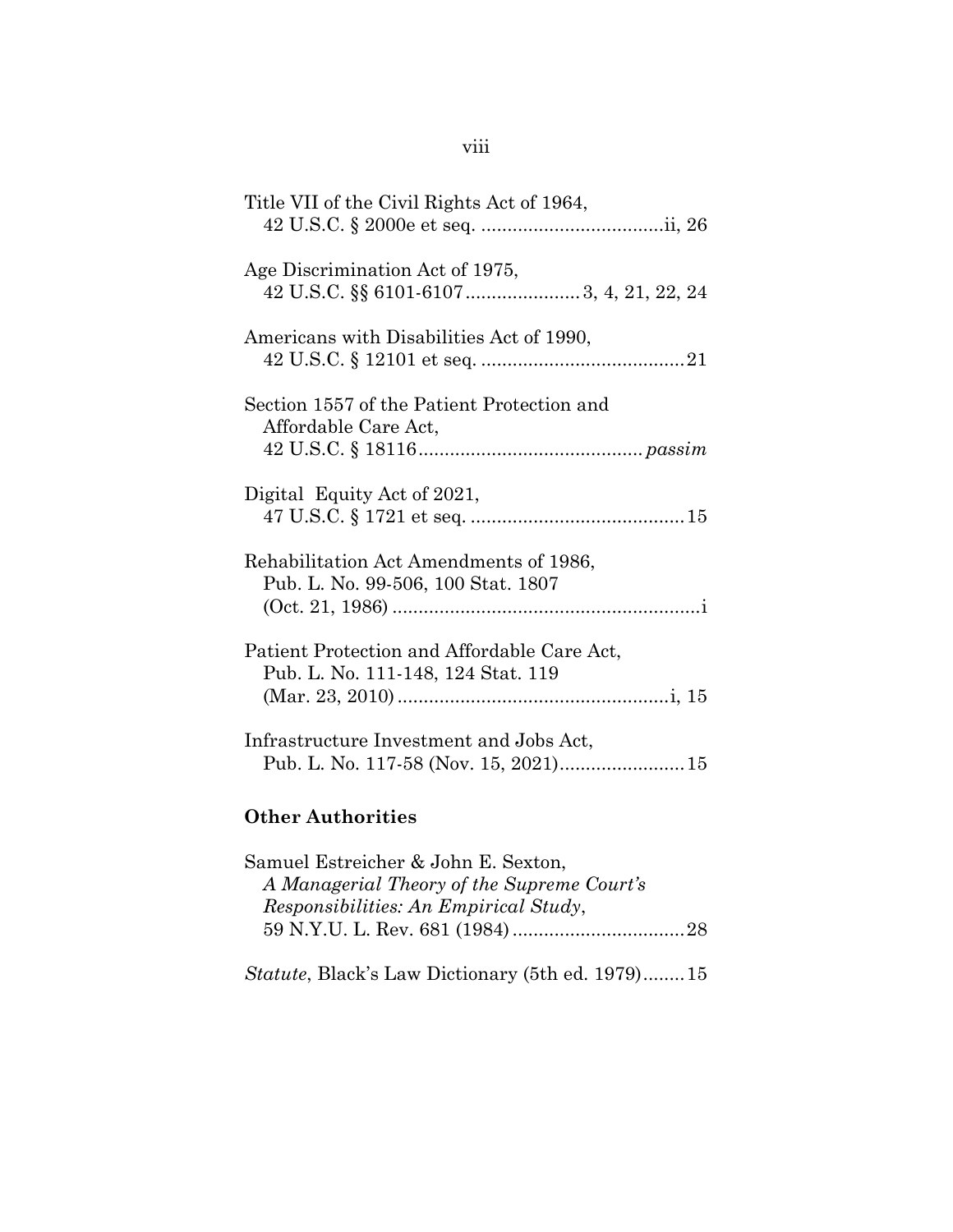| Title VII of the Civil Rights Act of 1964,                                        |
|-----------------------------------------------------------------------------------|
| Age Discrimination Act of 1975,<br>42 U.S.C. §§ 6101-6107 3, 4, 21, 22, 24        |
| Americans with Disabilities Act of 1990,                                          |
| Section 1557 of the Patient Protection and<br>Affordable Care Act,                |
| Digital Equity Act of 2021,                                                       |
| Rehabilitation Act Amendments of 1986,<br>Pub. L. No. 99-506, 100 Stat. 1807      |
| Patient Protection and Affordable Care Act,<br>Pub. L. No. 111-148, 124 Stat. 119 |
| Infrastructure Investment and Jobs Act,<br>Pub. L. No. 117-58 (Nov. 15, 2021) 15  |
| <b>Other Authorities</b>                                                          |

| Samuel Estreicher & John E. Sexton,                      |  |
|----------------------------------------------------------|--|
| A Managerial Theory of the Supreme Court's               |  |
| Responsibilities: An Empirical Study,                    |  |
|                                                          |  |
|                                                          |  |
| <i>Statute</i> , Black's Law Dictionary (5th ed. 1979)15 |  |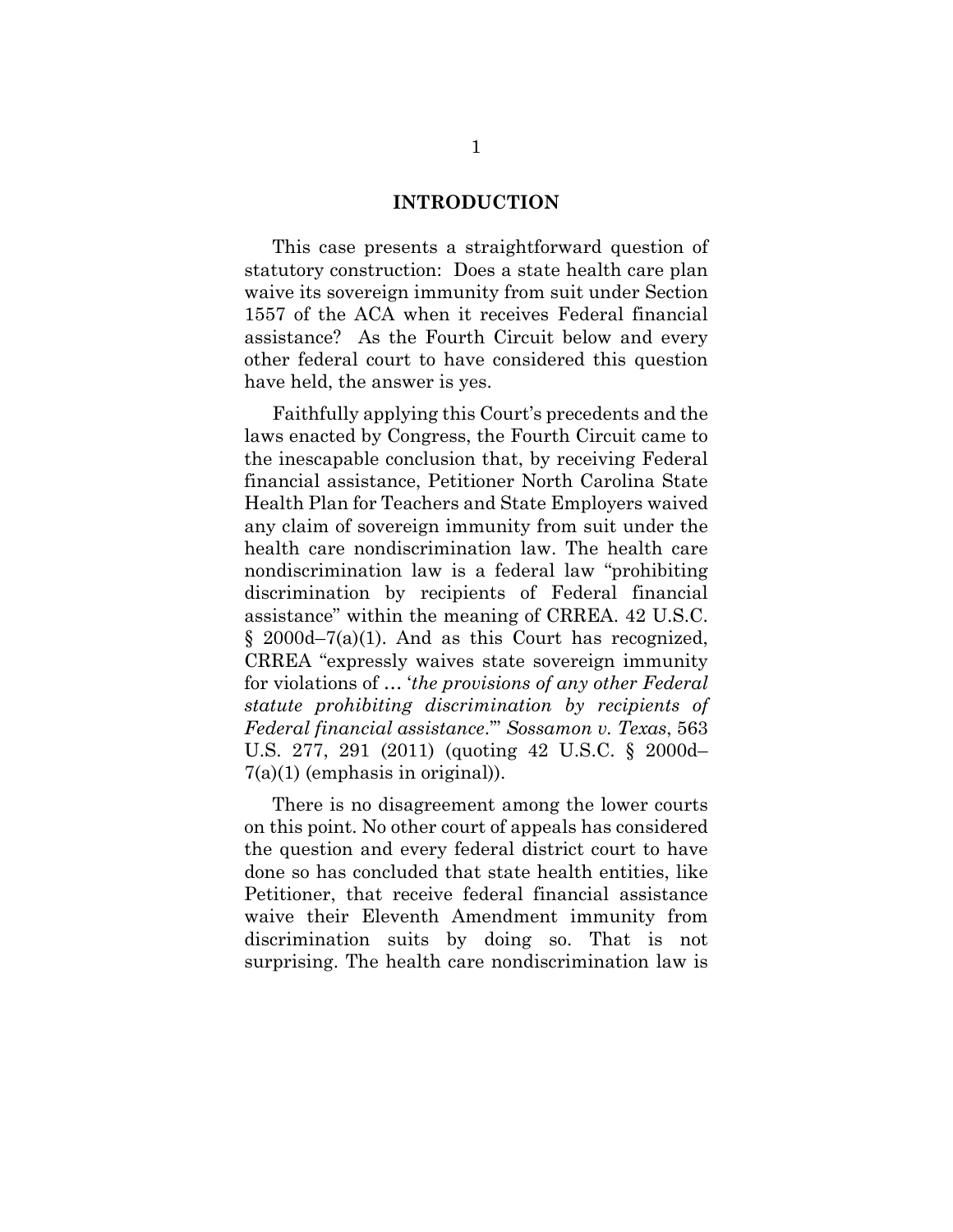#### **INTRODUCTION**

<span id="page-9-0"></span>This case presents a straightforward question of statutory construction: Does a state health care plan waive its sovereign immunity from suit under Section 1557 of the ACA when it receives Federal financial assistance? As the Fourth Circuit below and every other federal court to have considered this question have held, the answer is yes.

Faithfully applying this Court's precedents and the laws enacted by Congress, the Fourth Circuit came to the inescapable conclusion that, by receiving Federal financial assistance, Petitioner North Carolina State Health Plan for Teachers and State Employers waived any claim of sovereign immunity from suit under the health care nondiscrimination law. The health care nondiscrimination law is a federal law "prohibiting discrimination by recipients of Federal financial assistance" within the meaning of CRREA. 42 U.S.C. § 2000d–7(a)(1). And as this Court has recognized, CRREA "expressly waives state sovereign immunity for violations of … '*the provisions of any other Federal statute prohibiting discrimination by recipients of Federal financial assistance*.'" *Sossamon v. Texas*, 563 U.S. 277, 291 (2011) (quoting 42 U.S.C. § 2000d– 7(a)(1) (emphasis in original)).

There is no disagreement among the lower courts on this point. No other court of appeals has considered the question and every federal district court to have done so has concluded that state health entities, like Petitioner, that receive federal financial assistance waive their Eleventh Amendment immunity from discrimination suits by doing so. That is not surprising. The health care nondiscrimination law is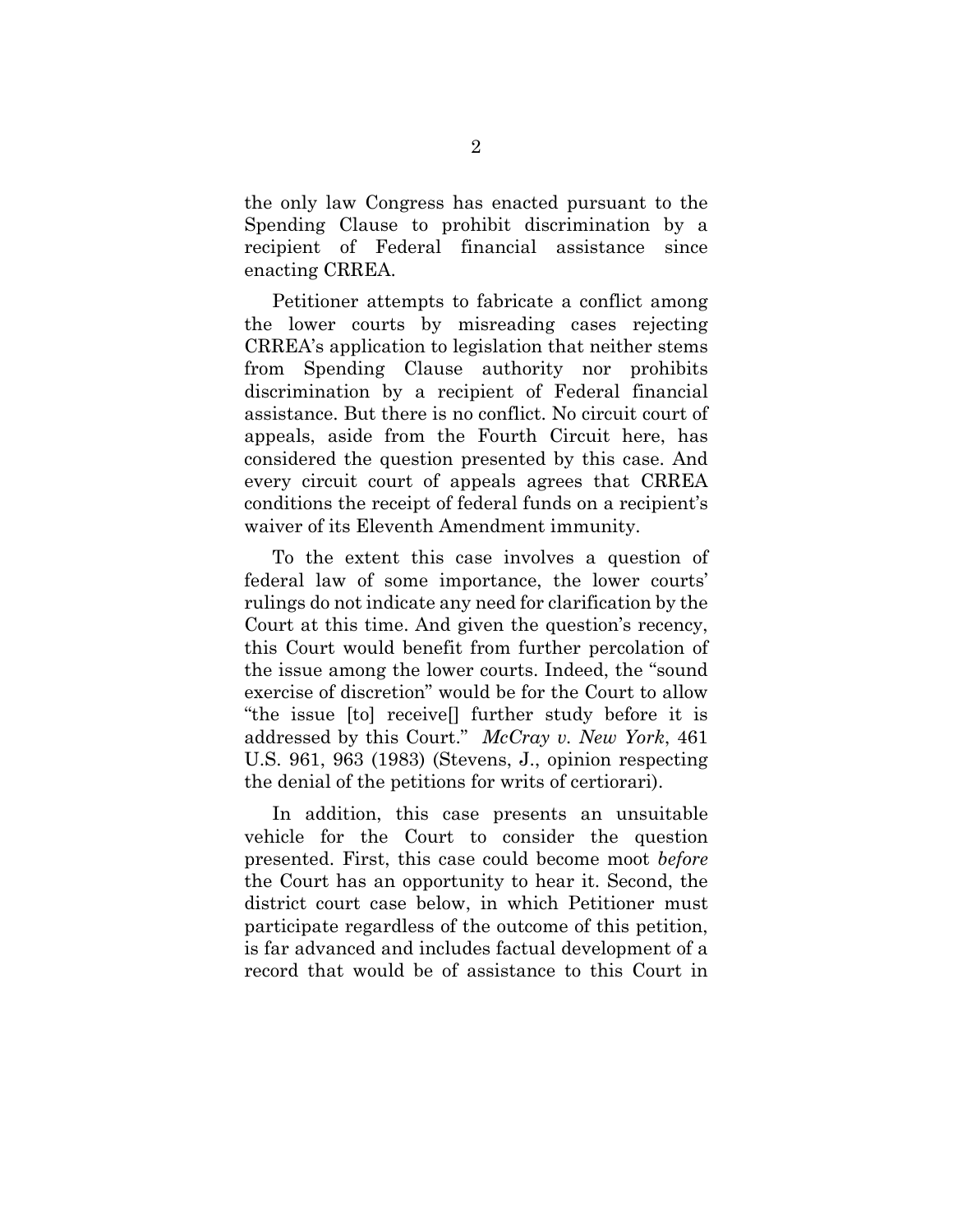the only law Congress has enacted pursuant to the Spending Clause to prohibit discrimination by a recipient of Federal financial assistance since enacting CRREA.

Petitioner attempts to fabricate a conflict among the lower courts by misreading cases rejecting CRREA's application to legislation that neither stems from Spending Clause authority nor prohibits discrimination by a recipient of Federal financial assistance. But there is no conflict. No circuit court of appeals, aside from the Fourth Circuit here, has considered the question presented by this case. And every circuit court of appeals agrees that CRREA conditions the receipt of federal funds on a recipient's waiver of its Eleventh Amendment immunity.

To the extent this case involves a question of federal law of some importance, the lower courts' rulings do not indicate any need for clarification by the Court at this time. And given the question's recency, this Court would benefit from further percolation of the issue among the lower courts. Indeed, the "sound exercise of discretion" would be for the Court to allow "the issue [to] receive[] further study before it is addressed by this Court." *McCray v. New York*, 461 U.S. 961, 963 (1983) (Stevens, J., opinion respecting the denial of the petitions for writs of certiorari).

In addition, this case presents an unsuitable vehicle for the Court to consider the question presented. First, this case could become moot *before*  the Court has an opportunity to hear it. Second, the district court case below, in which Petitioner must participate regardless of the outcome of this petition, is far advanced and includes factual development of a record that would be of assistance to this Court in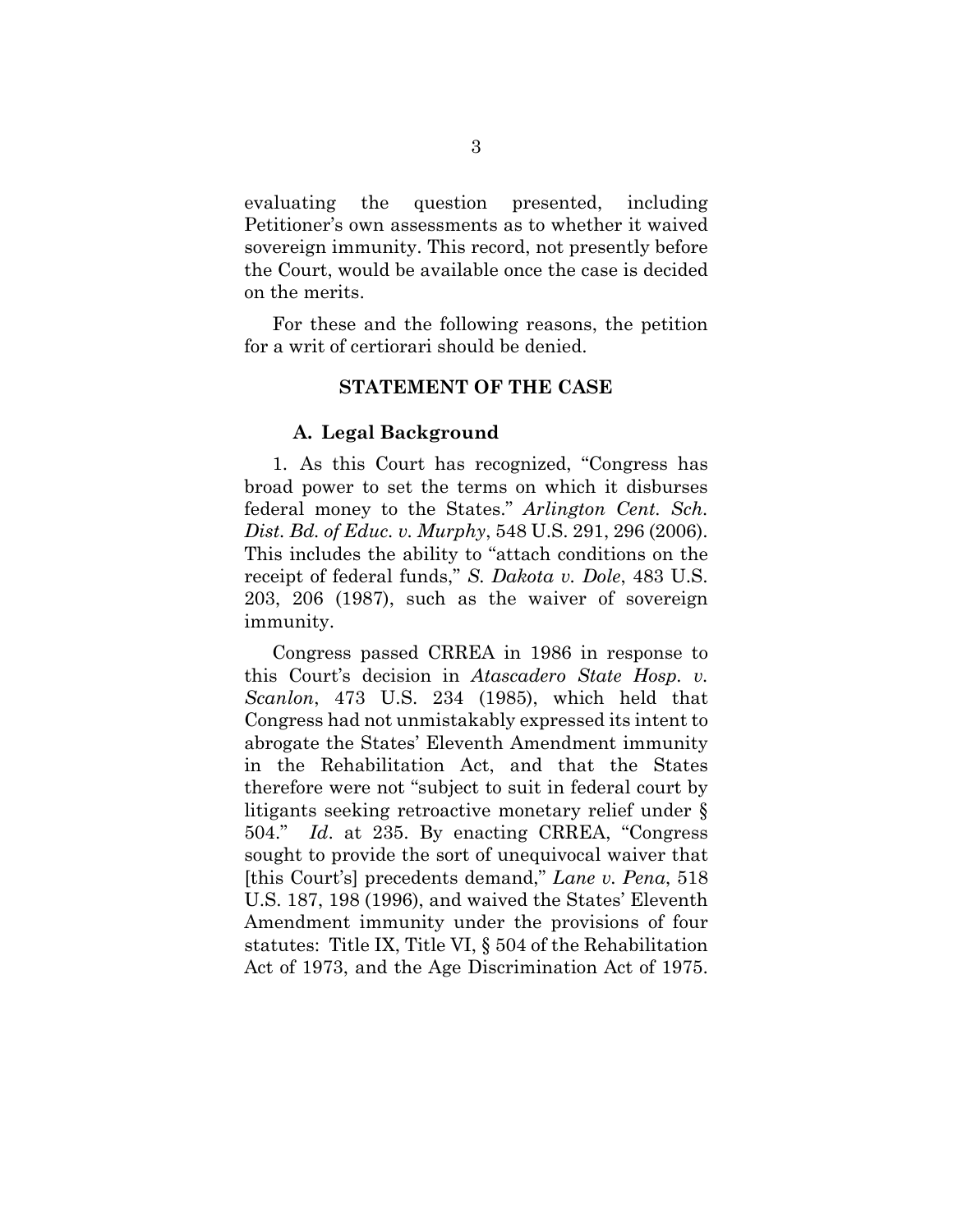evaluating the question presented, including Petitioner's own assessments as to whether it waived sovereign immunity. This record, not presently before the Court, would be available once the case is decided on the merits.

<span id="page-11-0"></span>For these and the following reasons, the petition for a writ of certiorari should be denied.

## **STATEMENT OF THE CASE**

#### **A. Legal Background**

<span id="page-11-1"></span>1. As this Court has recognized, "Congress has broad power to set the terms on which it disburses federal money to the States." *Arlington Cent. Sch. Dist. Bd. of Educ. v. Murphy*, 548 U.S. 291, 296 (2006). This includes the ability to "attach conditions on the receipt of federal funds," *S. Dakota v. Dole*, 483 U.S. 203, 206 (1987), such as the waiver of sovereign immunity.

Congress passed CRREA in 1986 in response to this Court's decision in *Atascadero State Hosp. v. Scanlon*, 473 U.S. 234 (1985), which held that Congress had not unmistakably expressed its intent to abrogate the States' Eleventh Amendment immunity in the Rehabilitation Act, and that the States therefore were not "subject to suit in federal court by litigants seeking retroactive monetary relief under § 504." *Id*. at 235. By enacting CRREA, "Congress sought to provide the sort of unequivocal waiver that [this Court's] precedents demand," *Lane v. Pena*, 518 U.S. 187, 198 (1996), and waived the States' Eleventh Amendment immunity under the provisions of four statutes: Title IX, Title VI, § 504 of the Rehabilitation Act of 1973, and the Age Discrimination Act of 1975.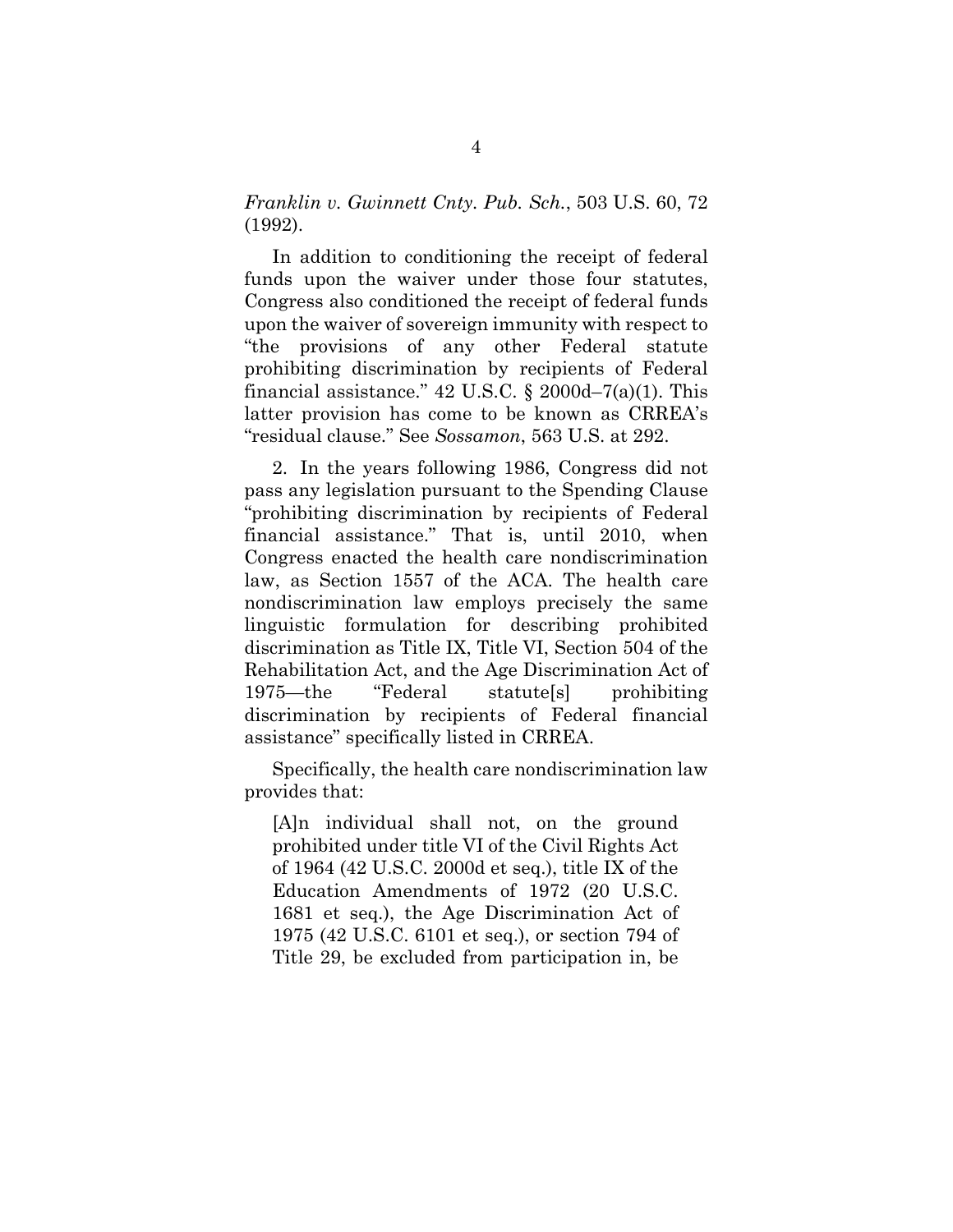*Franklin v. Gwinnett Cnty. Pub. Sch.*, 503 U.S. 60, 72 (1992).

In addition to conditioning the receipt of federal funds upon the waiver under those four statutes, Congress also conditioned the receipt of federal funds upon the waiver of sovereign immunity with respect to "the provisions of any other Federal statute prohibiting discrimination by recipients of Federal financial assistance."  $42 \text{ U.S.C. }$ §  $2000 \text{d} - 7$ (a)(1). This latter provision has come to be known as CRREA's "residual clause." See *Sossamon*, 563 U.S. at 292.

2. In the years following 1986, Congress did not pass any legislation pursuant to the Spending Clause "prohibiting discrimination by recipients of Federal financial assistance." That is, until 2010, when Congress enacted the health care nondiscrimination law, as Section 1557 of the ACA. The health care nondiscrimination law employs precisely the same linguistic formulation for describing prohibited discrimination as Title IX, Title VI, Section 504 of the Rehabilitation Act, and the Age Discrimination Act of 1975—the "Federal statute[s] prohibiting discrimination by recipients of Federal financial assistance" specifically listed in CRREA.

Specifically, the health care nondiscrimination law provides that:

[A]n individual shall not, on the ground prohibited under title VI of the Civil Rights Act of 1964 (42 U.S.C. 2000d et seq.), title IX of the Education Amendments of 1972 (20 U.S.C. 1681 et seq.), the Age Discrimination Act of 1975 (42 U.S.C. 6101 et seq.), or section 794 of Title 29, be excluded from participation in, be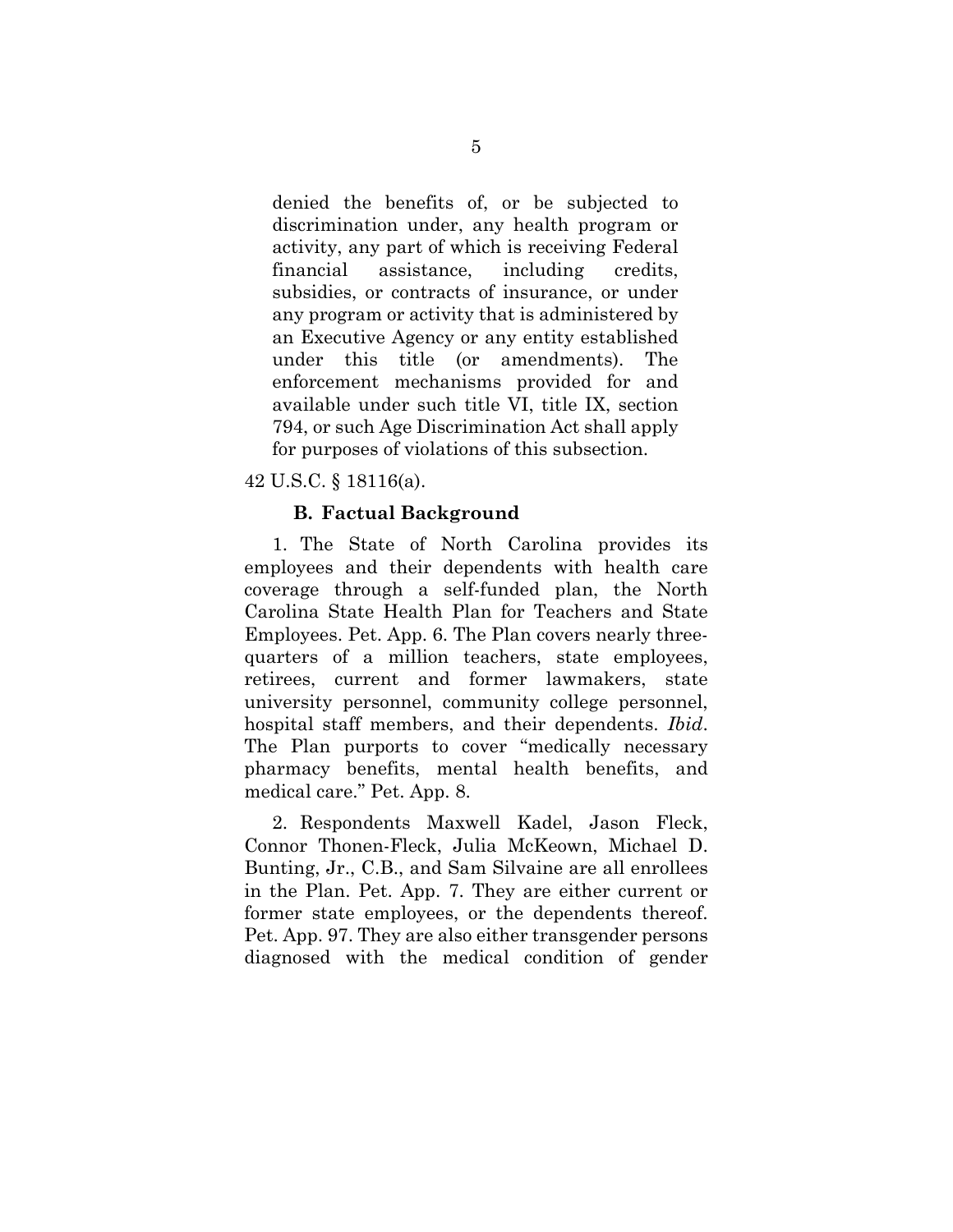denied the benefits of, or be subjected to discrimination under, any health program or activity, any part of which is receiving Federal financial assistance, including credits, subsidies, or contracts of insurance, or under any program or activity that is administered by an Executive Agency or any entity established under this title (or amendments). The enforcement mechanisms provided for and available under such title VI, title IX, section 794, or such Age Discrimination Act shall apply for purposes of violations of this subsection.

<span id="page-13-0"></span>42 U.S.C. § 18116(a).

### **B. Factual Background**

1. The State of North Carolina provides its employees and their dependents with health care coverage through a self-funded plan, the North Carolina State Health Plan for Teachers and State Employees. Pet. App. 6. The Plan covers nearly threequarters of a million teachers, state employees, retirees, current and former lawmakers, state university personnel, community college personnel, hospital staff members, and their dependents. *Ibid*. The Plan purports to cover "medically necessary pharmacy benefits, mental health benefits, and medical care." Pet. App. 8.

2. Respondents Maxwell Kadel, Jason Fleck, Connor Thonen-Fleck, Julia McKeown, Michael D. Bunting, Jr., C.B., and Sam Silvaine are all enrollees in the Plan. Pet. App. 7. They are either current or former state employees, or the dependents thereof. Pet. App. 97. They are also either transgender persons diagnosed with the medical condition of gender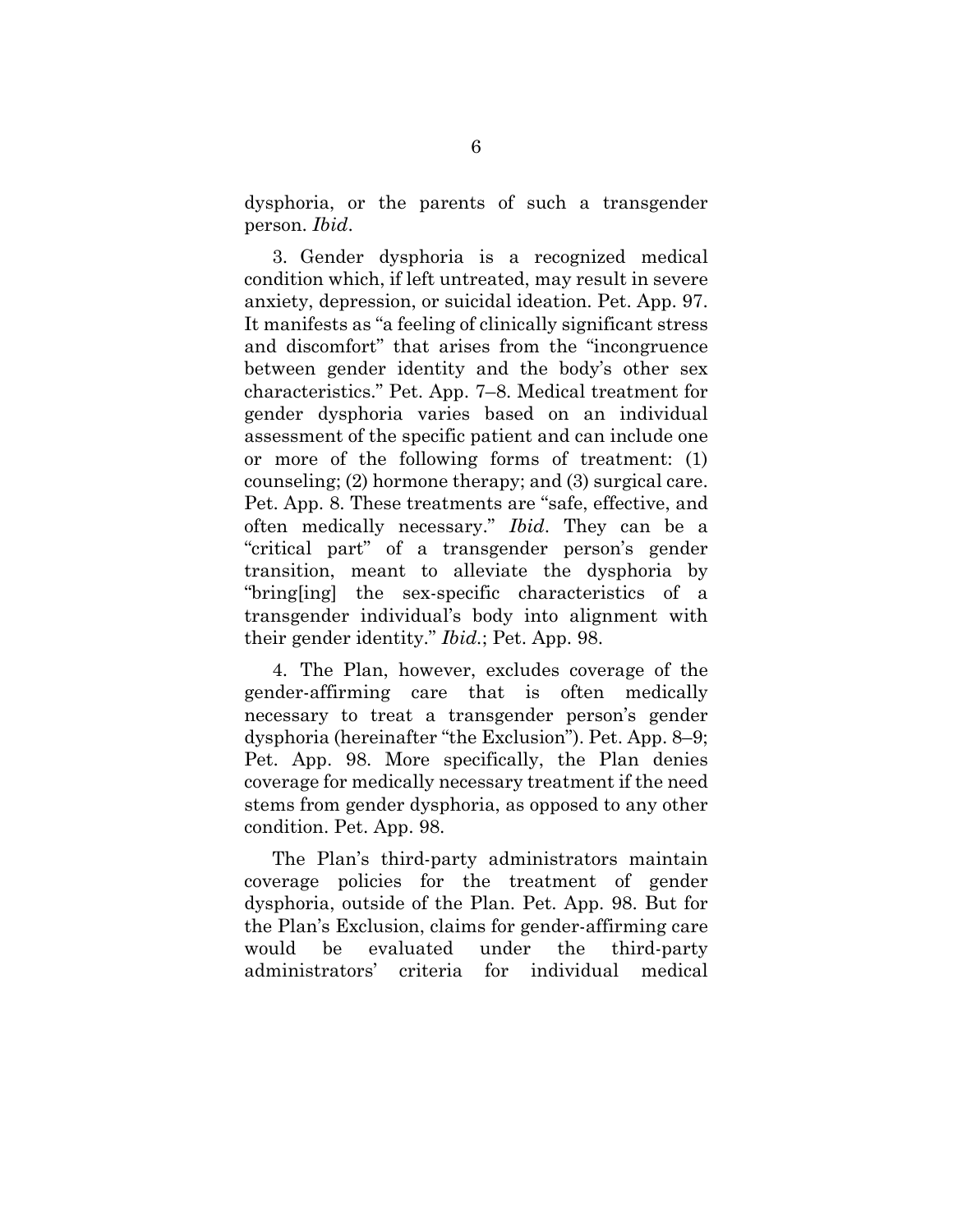dysphoria, or the parents of such a transgender person. *Ibid*.

3. Gender dysphoria is a recognized medical condition which, if left untreated, may result in severe anxiety, depression, or suicidal ideation. Pet. App. 97. It manifests as "a feeling of clinically significant stress and discomfort" that arises from the "incongruence between gender identity and the body's other sex characteristics." Pet. App. 7–8. Medical treatment for gender dysphoria varies based on an individual assessment of the specific patient and can include one or more of the following forms of treatment: (1) counseling; (2) hormone therapy; and (3) surgical care. Pet. App. 8. These treatments are "safe, effective, and often medically necessary." *Ibid*. They can be a "critical part" of a transgender person's gender transition, meant to alleviate the dysphoria by "bring[ing] the sex-specific characteristics of a transgender individual's body into alignment with their gender identity." *Ibid.*; Pet. App. 98.

4. The Plan, however, excludes coverage of the gender-affirming care that is often medically necessary to treat a transgender person's gender dysphoria (hereinafter "the Exclusion"). Pet. App. 8–9; Pet. App. 98. More specifically, the Plan denies coverage for medically necessary treatment if the need stems from gender dysphoria, as opposed to any other condition. Pet. App. 98.

The Plan's third-party administrators maintain coverage policies for the treatment of gender dysphoria, outside of the Plan. Pet. App. 98. But for the Plan's Exclusion, claims for gender-affirming care would be evaluated under the third-party administrators' criteria for individual medical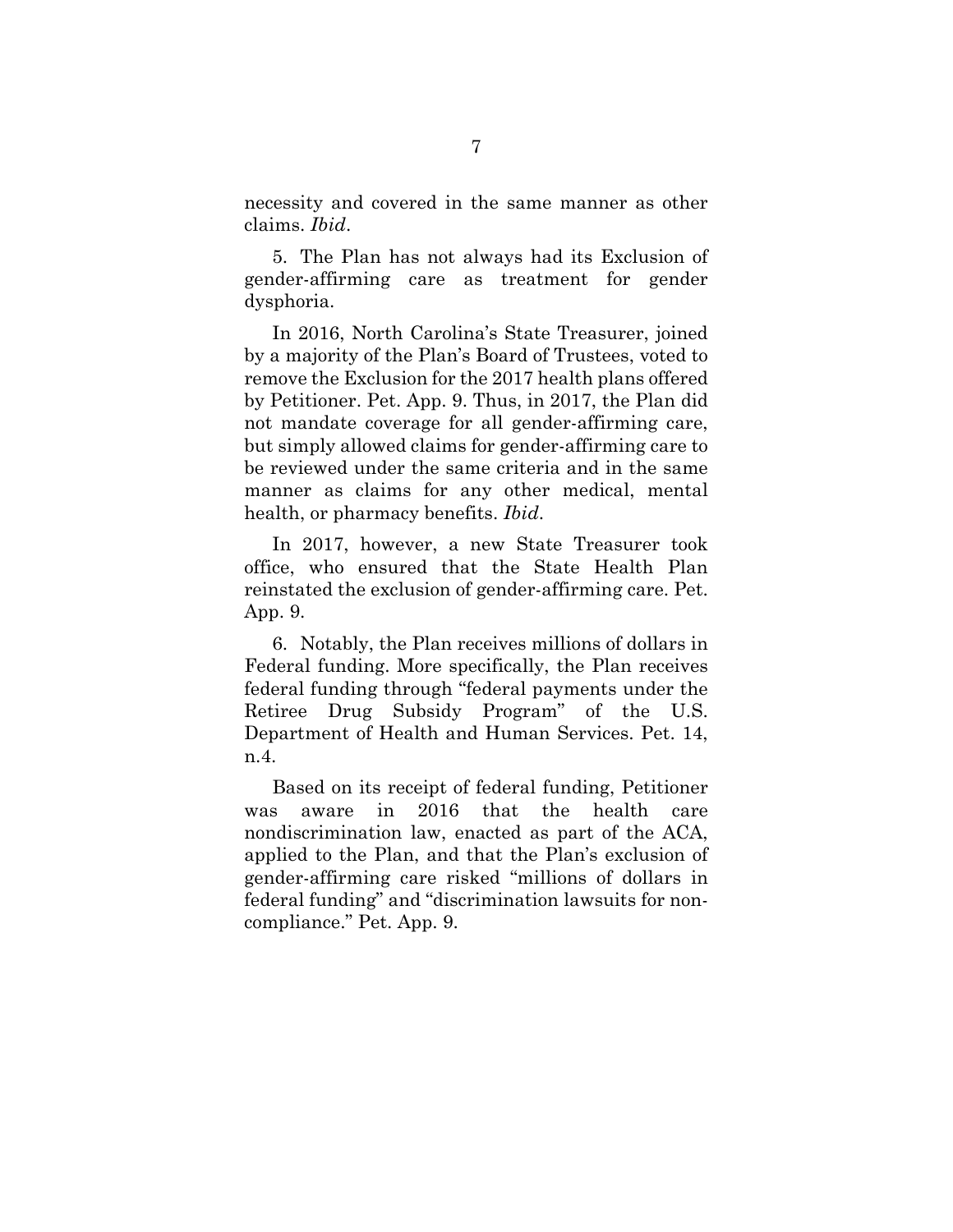necessity and covered in the same manner as other claims. *Ibid*.

5. The Plan has not always had its Exclusion of gender-affirming care as treatment for gender dysphoria.

In 2016, North Carolina's State Treasurer, joined by a majority of the Plan's Board of Trustees, voted to remove the Exclusion for the 2017 health plans offered by Petitioner. Pet. App. 9. Thus, in 2017, the Plan did not mandate coverage for all gender-affirming care, but simply allowed claims for gender-affirming care to be reviewed under the same criteria and in the same manner as claims for any other medical, mental health, or pharmacy benefits. *Ibid*.

In 2017, however, a new State Treasurer took office, who ensured that the State Health Plan reinstated the exclusion of gender-affirming care. Pet. App. 9.

6. Notably, the Plan receives millions of dollars in Federal funding. More specifically, the Plan receives federal funding through "federal payments under the Retiree Drug Subsidy Program" of the U.S. Department of Health and Human Services. Pet. 14, n.4.

Based on its receipt of federal funding, Petitioner was aware in 2016 that the health care nondiscrimination law, enacted as part of the ACA, applied to the Plan, and that the Plan's exclusion of gender-affirming care risked "millions of dollars in federal funding" and "discrimination lawsuits for noncompliance." Pet. App. 9.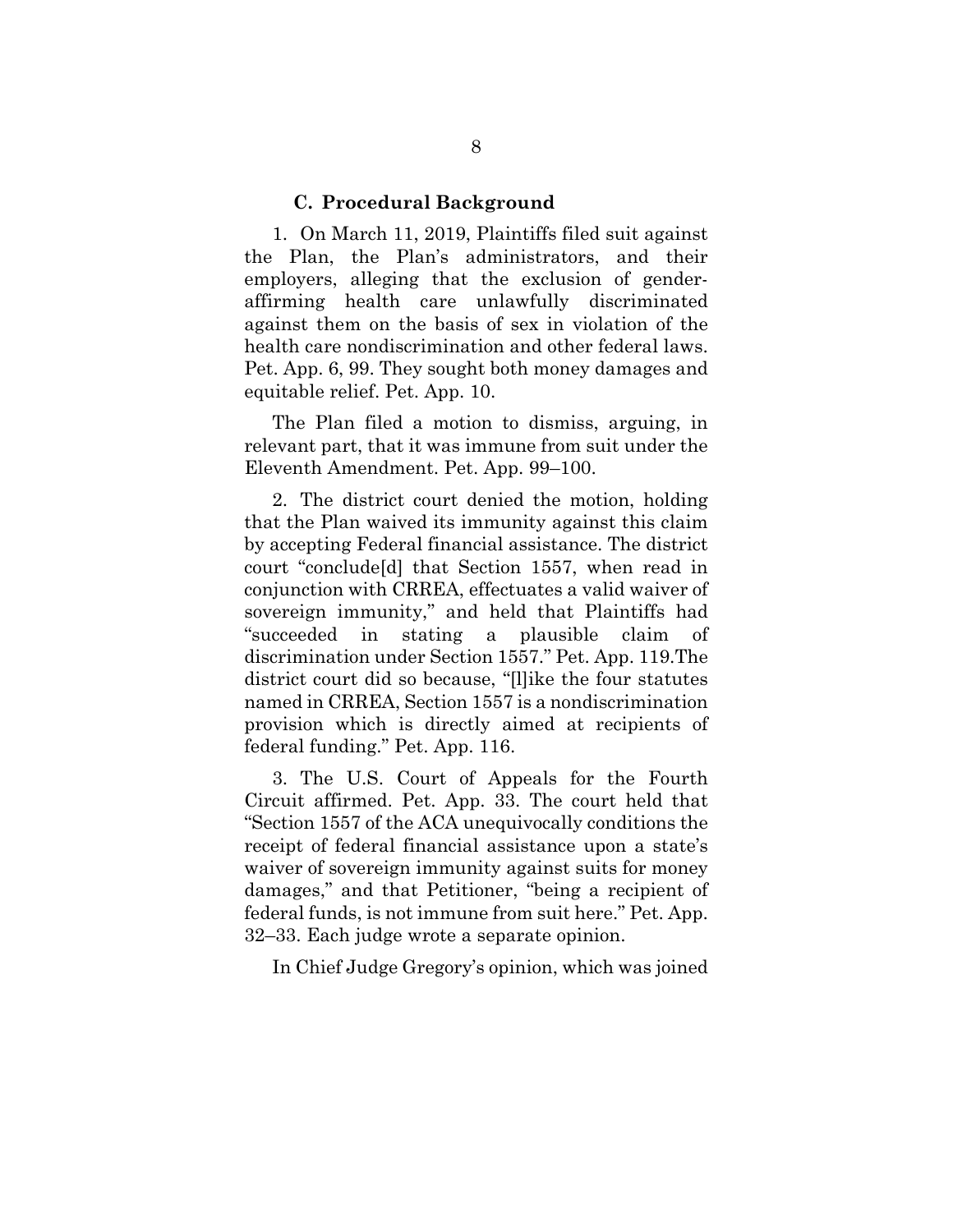#### **C. Procedural Background**

<span id="page-16-0"></span>1. On March 11, 2019, Plaintiffs filed suit against the Plan, the Plan's administrators, and their employers, alleging that the exclusion of genderaffirming health care unlawfully discriminated against them on the basis of sex in violation of the health care nondiscrimination and other federal laws. Pet. App. 6, 99. They sought both money damages and equitable relief. Pet. App. 10.

The Plan filed a motion to dismiss, arguing, in relevant part, that it was immune from suit under the Eleventh Amendment. Pet. App. 99–100.

2. The district court denied the motion, holding that the Plan waived its immunity against this claim by accepting Federal financial assistance. The district court "conclude[d] that Section 1557, when read in conjunction with CRREA, effectuates a valid waiver of sovereign immunity," and held that Plaintiffs had "succeeded in stating a plausible claim of discrimination under Section 1557." Pet. App. 119.The district court did so because, "[l]ike the four statutes named in CRREA, Section 1557 is a nondiscrimination provision which is directly aimed at recipients of federal funding." Pet. App. 116.

3. The U.S. Court of Appeals for the Fourth Circuit affirmed. Pet. App. 33. The court held that "Section 1557 of the ACA unequivocally conditions the receipt of federal financial assistance upon a state's waiver of sovereign immunity against suits for money damages," and that Petitioner, "being a recipient of federal funds, is not immune from suit here." Pet. App. 32–33. Each judge wrote a separate opinion.

In Chief Judge Gregory's opinion, which was joined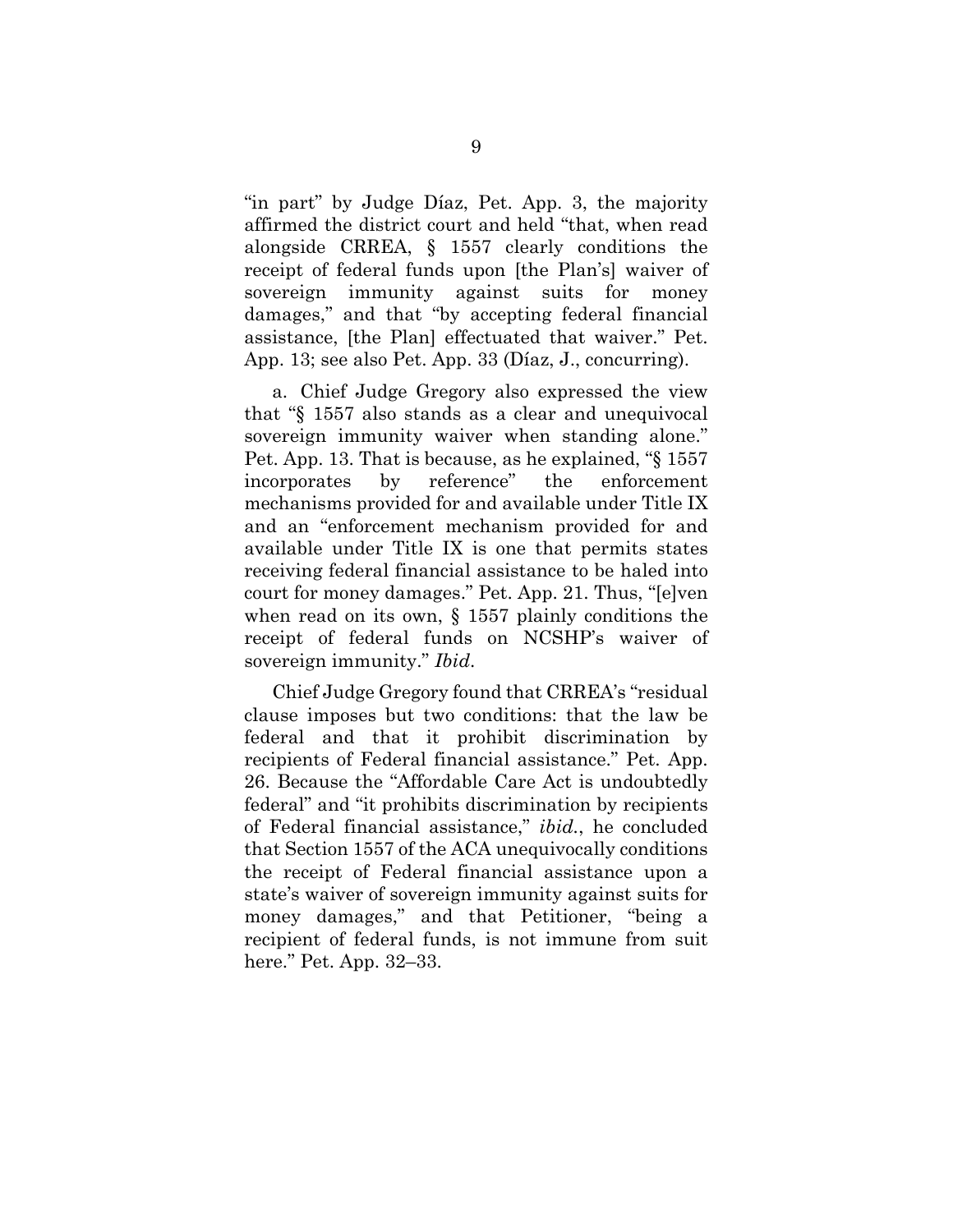"in part" by Judge Díaz, Pet. App. 3, the majority affirmed the district court and held "that, when read alongside CRREA, § 1557 clearly conditions the receipt of federal funds upon [the Plan's] waiver of sovereign immunity against suits for money damages," and that "by accepting federal financial assistance, [the Plan] effectuated that waiver." Pet. App. 13; see also Pet. App. 33 (Díaz, J., concurring).

a. Chief Judge Gregory also expressed the view that "§ 1557 also stands as a clear and unequivocal sovereign immunity waiver when standing alone." Pet. App. 13. That is because, as he explained, "§ 1557 incorporates by reference" the enforcement mechanisms provided for and available under Title IX and an "enforcement mechanism provided for and available under Title IX is one that permits states receiving federal financial assistance to be haled into court for money damages." Pet. App. 21. Thus, "[e]ven when read on its own, § 1557 plainly conditions the receipt of federal funds on NCSHP's waiver of sovereign immunity." *Ibid*.

Chief Judge Gregory found that CRREA's "residual clause imposes but two conditions: that the law be federal and that it prohibit discrimination by recipients of Federal financial assistance." Pet. App. 26. Because the "Affordable Care Act is undoubtedly federal" and "it prohibits discrimination by recipients of Federal financial assistance," *ibid.*, he concluded that Section 1557 of the ACA unequivocally conditions the receipt of Federal financial assistance upon a state's waiver of sovereign immunity against suits for money damages," and that Petitioner, "being a recipient of federal funds, is not immune from suit here." Pet. App. 32–33.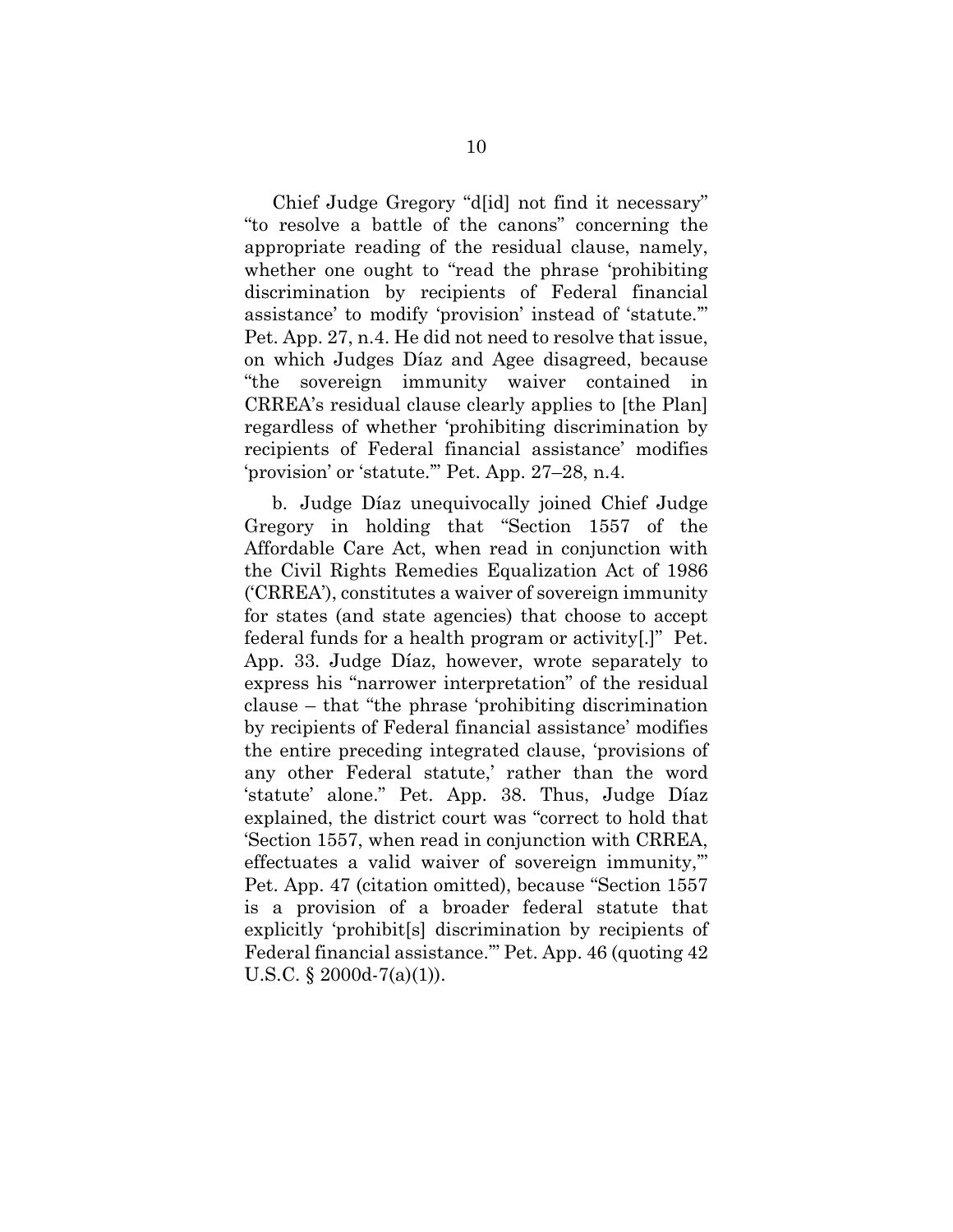Chief Judge Gregory "d[id] not find it necessary" "to resolve a battle of the canons" concerning the appropriate reading of the residual clause, namely, whether one ought to "read the phrase 'prohibiting discrimination by recipients of Federal financial assistance' to modify 'provision' instead of 'statute.'" Pet. App. 27, n.4. He did not need to resolve that issue, on which Judges Díaz and Agee disagreed, because "the sovereign immunity waiver contained in CRREA's residual clause clearly applies to [the Plan] regardless of whether 'prohibiting discrimination by recipients of Federal financial assistance' modifies 'provision' or 'statute.'" Pet. App. 27–28, n.4.

b. Judge Díaz unequivocally joined Chief Judge Gregory in holding that "Section 1557 of the Affordable Care Act, when read in conjunction with the Civil Rights Remedies Equalization Act of 1986 ('CRREA'), constitutes a waiver of sovereign immunity for states (and state agencies) that choose to accept federal funds for a health program or activity[.]" Pet. App. 33. Judge Díaz, however, wrote separately to express his "narrower interpretation" of the residual clause – that "the phrase 'prohibiting discrimination by recipients of Federal financial assistance' modifies the entire preceding integrated clause, 'provisions of any other Federal statute,' rather than the word 'statute' alone." Pet. App. 38. Thus, Judge Díaz explained, the district court was "correct to hold that 'Section 1557, when read in conjunction with CRREA, effectuates a valid waiver of sovereign immunity,'" Pet. App. 47 (citation omitted), because "Section 1557 is a provision of a broader federal statute that explicitly 'prohibit[s] discrimination by recipients of Federal financial assistance.'" Pet. App. 46 (quoting 42 U.S.C. § 2000d-7(a)(1)).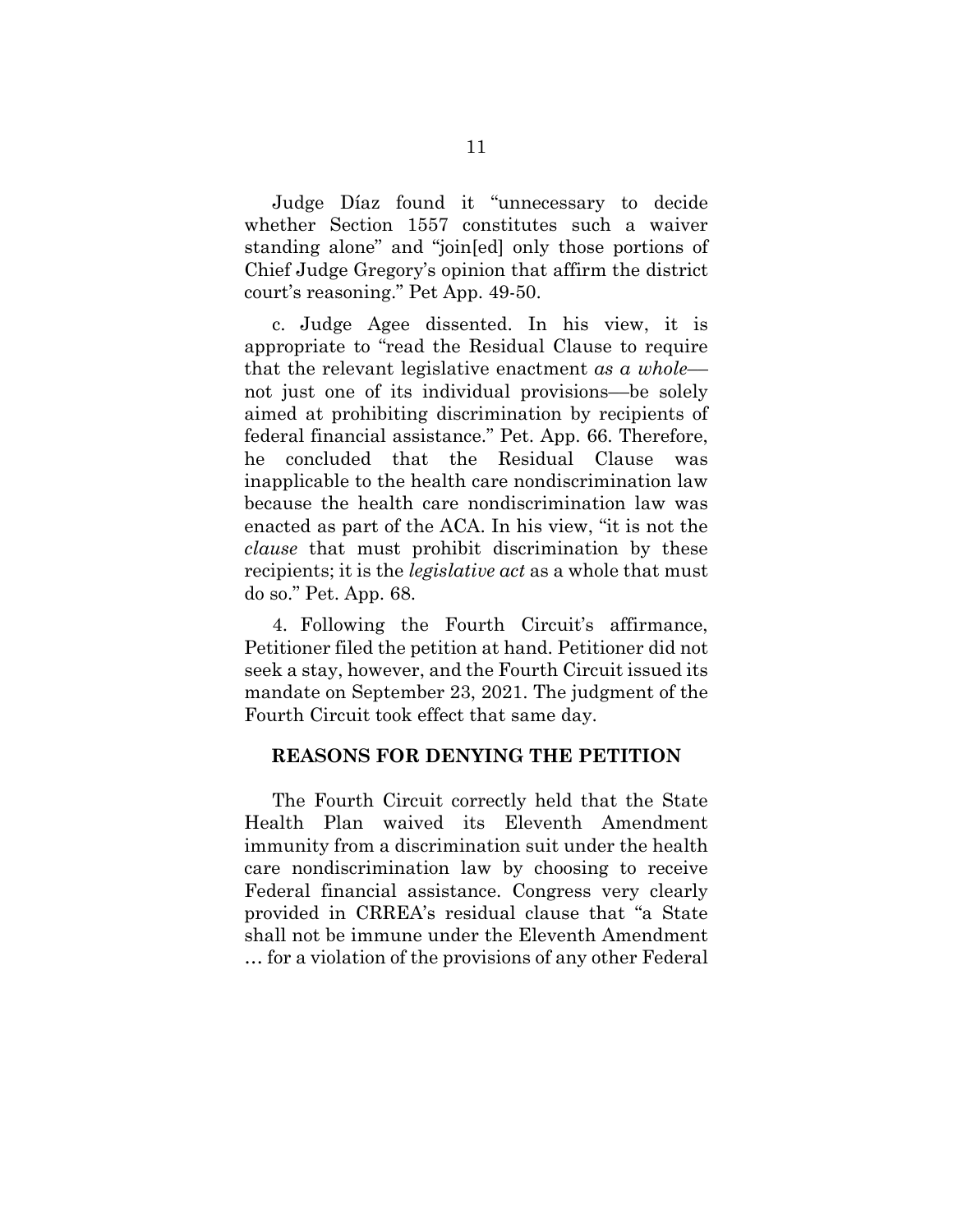Judge Díaz found it "unnecessary to decide whether Section 1557 constitutes such a waiver standing alone" and "join[ed] only those portions of Chief Judge Gregory's opinion that affirm the district court's reasoning." Pet App. 49-50.

c. Judge Agee dissented. In his view, it is appropriate to "read the Residual Clause to require that the relevant legislative enactment *as a whole*–– not just one of its individual provisions––be solely aimed at prohibiting discrimination by recipients of federal financial assistance." Pet. App. 66. Therefore, he concluded that the Residual Clause was inapplicable to the health care nondiscrimination law because the health care nondiscrimination law was enacted as part of the ACA. In his view, "it is not the *clause* that must prohibit discrimination by these recipients; it is the *legislative act* as a whole that must do so." Pet. App. 68.

4. Following the Fourth Circuit's affirmance, Petitioner filed the petition at hand. Petitioner did not seek a stay, however, and the Fourth Circuit issued its mandate on September 23, 2021. The judgment of the Fourth Circuit took effect that same day.

#### <span id="page-19-0"></span>**REASONS FOR DENYING THE PETITION**

The Fourth Circuit correctly held that the State Health Plan waived its Eleventh Amendment immunity from a discrimination suit under the health care nondiscrimination law by choosing to receive Federal financial assistance. Congress very clearly provided in CRREA's residual clause that "a State shall not be immune under the Eleventh Amendment … for a violation of the provisions of any other Federal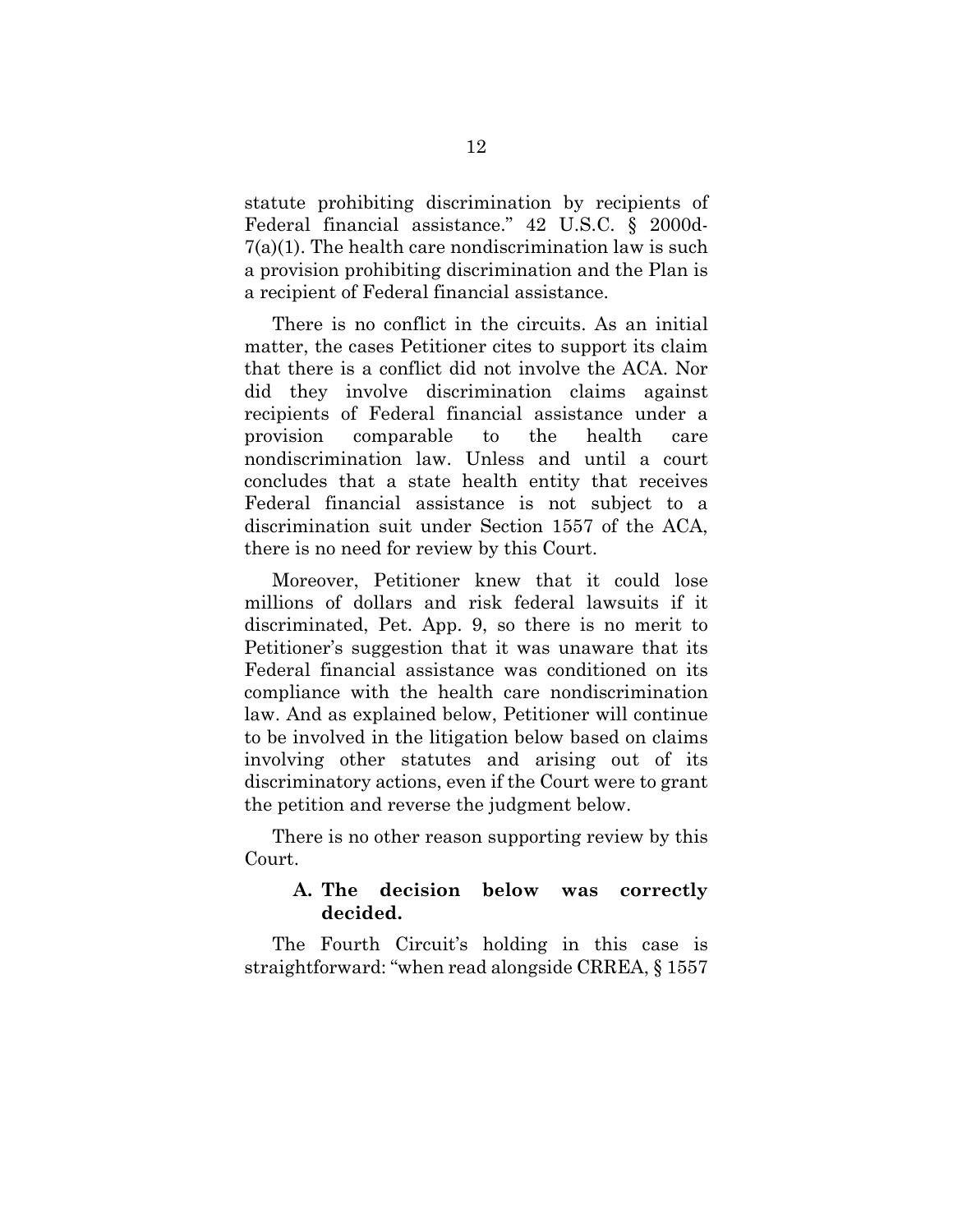statute prohibiting discrimination by recipients of Federal financial assistance." 42 U.S.C. § 2000d- $7(a)(1)$ . The health care nondiscrimination law is such a provision prohibiting discrimination and the Plan is a recipient of Federal financial assistance.

There is no conflict in the circuits. As an initial matter, the cases Petitioner cites to support its claim that there is a conflict did not involve the ACA. Nor did they involve discrimination claims against recipients of Federal financial assistance under a provision comparable to the health care nondiscrimination law. Unless and until a court concludes that a state health entity that receives Federal financial assistance is not subject to a discrimination suit under Section 1557 of the ACA, there is no need for review by this Court.

Moreover, Petitioner knew that it could lose millions of dollars and risk federal lawsuits if it discriminated, Pet. App. 9, so there is no merit to Petitioner's suggestion that it was unaware that its Federal financial assistance was conditioned on its compliance with the health care nondiscrimination law. And as explained below, Petitioner will continue to be involved in the litigation below based on claims involving other statutes and arising out of its discriminatory actions, even if the Court were to grant the petition and reverse the judgment below.

There is no other reason supporting review by this Court.

## <span id="page-20-0"></span>**A. The decision below was correctly decided.**

The Fourth Circuit's holding in this case is straightforward: "when read alongside CRREA, § 1557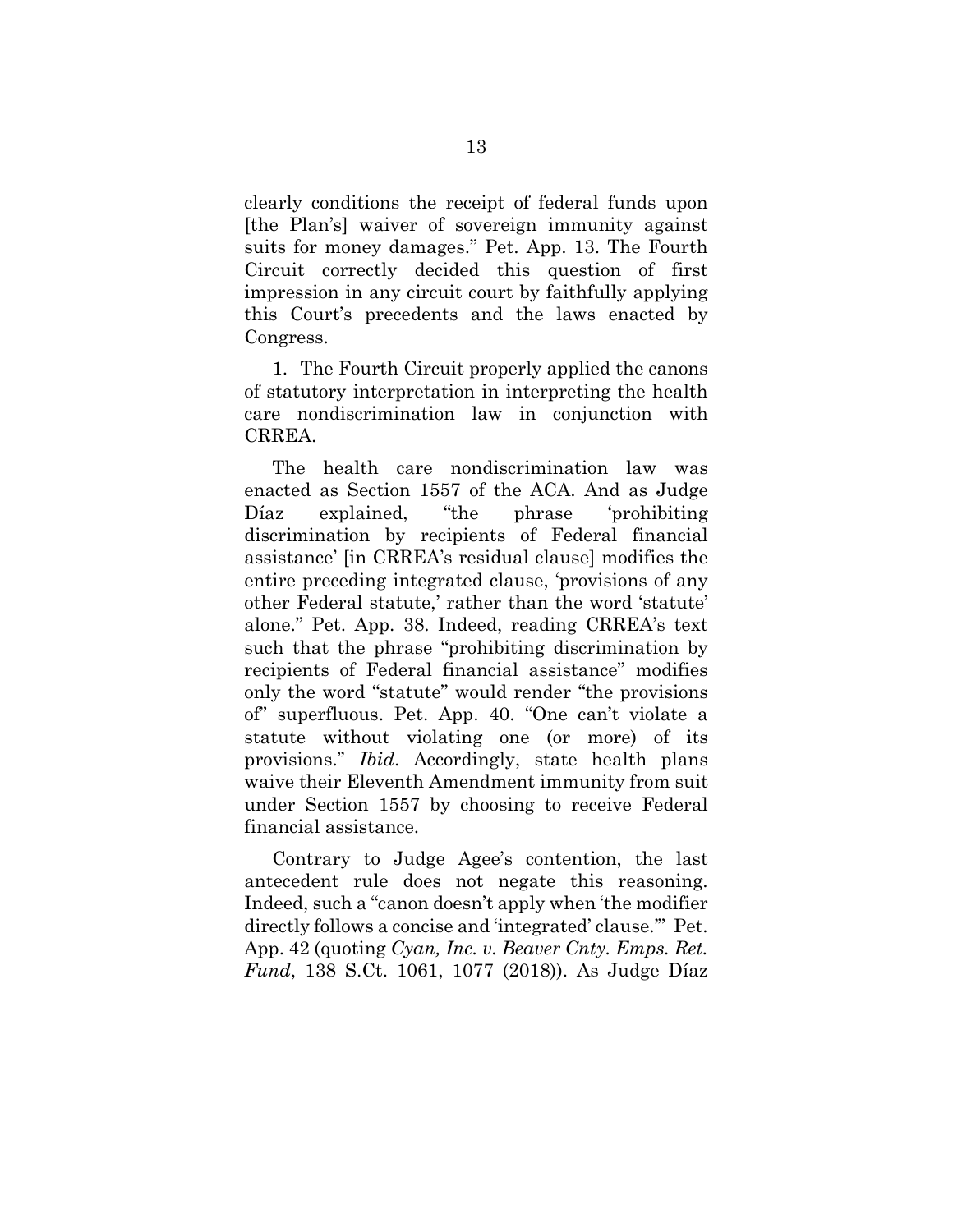clearly conditions the receipt of federal funds upon [the Plan's] waiver of sovereign immunity against suits for money damages." Pet. App. 13. The Fourth Circuit correctly decided this question of first impression in any circuit court by faithfully applying this Court's precedents and the laws enacted by Congress.

1. The Fourth Circuit properly applied the canons of statutory interpretation in interpreting the health care nondiscrimination law in conjunction with CRREA.

The health care nondiscrimination law was enacted as Section 1557 of the ACA. And as Judge Díaz explained, "the phrase 'prohibiting discrimination by recipients of Federal financial assistance' [in CRREA's residual clause] modifies the entire preceding integrated clause, 'provisions of any other Federal statute,' rather than the word 'statute' alone." Pet. App. 38. Indeed, reading CRREA's text such that the phrase "prohibiting discrimination by recipients of Federal financial assistance" modifies only the word "statute" would render "the provisions of" superfluous. Pet. App. 40. "One can't violate a statute without violating one (or more) of its provisions." *Ibid*. Accordingly, state health plans waive their Eleventh Amendment immunity from suit under Section 1557 by choosing to receive Federal financial assistance.

Contrary to Judge Agee's contention, the last antecedent rule does not negate this reasoning. Indeed, such a "canon doesn't apply when 'the modifier directly follows a concise and 'integrated' clause.'" Pet. App. 42 (quoting *Cyan, Inc. v. Beaver Cnty. Emps. Ret. Fund*, 138 S.Ct. 1061, 1077 (2018)). As Judge Díaz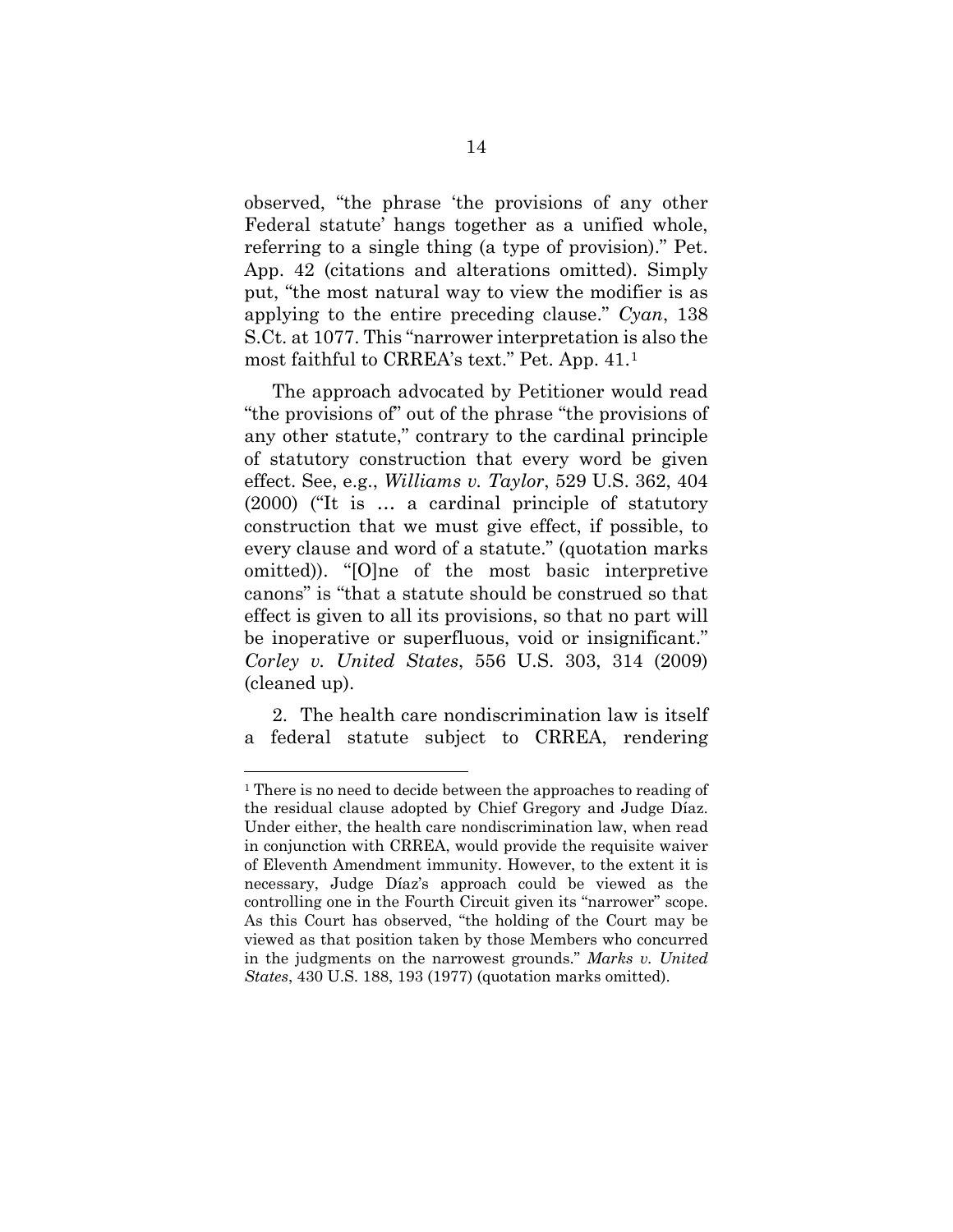observed, "the phrase 'the provisions of any other Federal statute' hangs together as a unified whole, referring to a single thing (a type of provision)." Pet. App. 42 (citations and alterations omitted). Simply put, "the most natural way to view the modifier is as applying to the entire preceding clause." *Cyan*, 138 S.Ct. at 1077. This "narrower interpretation is also the most faithful to CRREA's text." Pet. App. 41.[1](#page-22-0) 

The approach advocated by Petitioner would read "the provisions of" out of the phrase "the provisions of any other statute," contrary to the cardinal principle of statutory construction that every word be given effect. See, e.g., *Williams v. Taylor*, 529 U.S. 362, 404 (2000) ("It is … a cardinal principle of statutory construction that we must give effect, if possible, to every clause and word of a statute." (quotation marks omitted)). "[O]ne of the most basic interpretive canons" is "that a statute should be construed so that effect is given to all its provisions, so that no part will be inoperative or superfluous, void or insignificant." *Corley v. United States*, 556 U.S. 303, 314 (2009) (cleaned up).

2. The health care nondiscrimination law is itself a federal statute subject to CRREA, rendering

<span id="page-22-0"></span><sup>&</sup>lt;sup>1</sup> There is no need to decide between the approaches to reading of the residual clause adopted by Chief Gregory and Judge Díaz. Under either, the health care nondiscrimination law, when read in conjunction with CRREA, would provide the requisite waiver of Eleventh Amendment immunity. However, to the extent it is necessary, Judge Díaz's approach could be viewed as the controlling one in the Fourth Circuit given its "narrower" scope. As this Court has observed, "the holding of the Court may be viewed as that position taken by those Members who concurred in the judgments on the narrowest grounds." *Marks v. United States*, 430 U.S. 188, 193 (1977) (quotation marks omitted).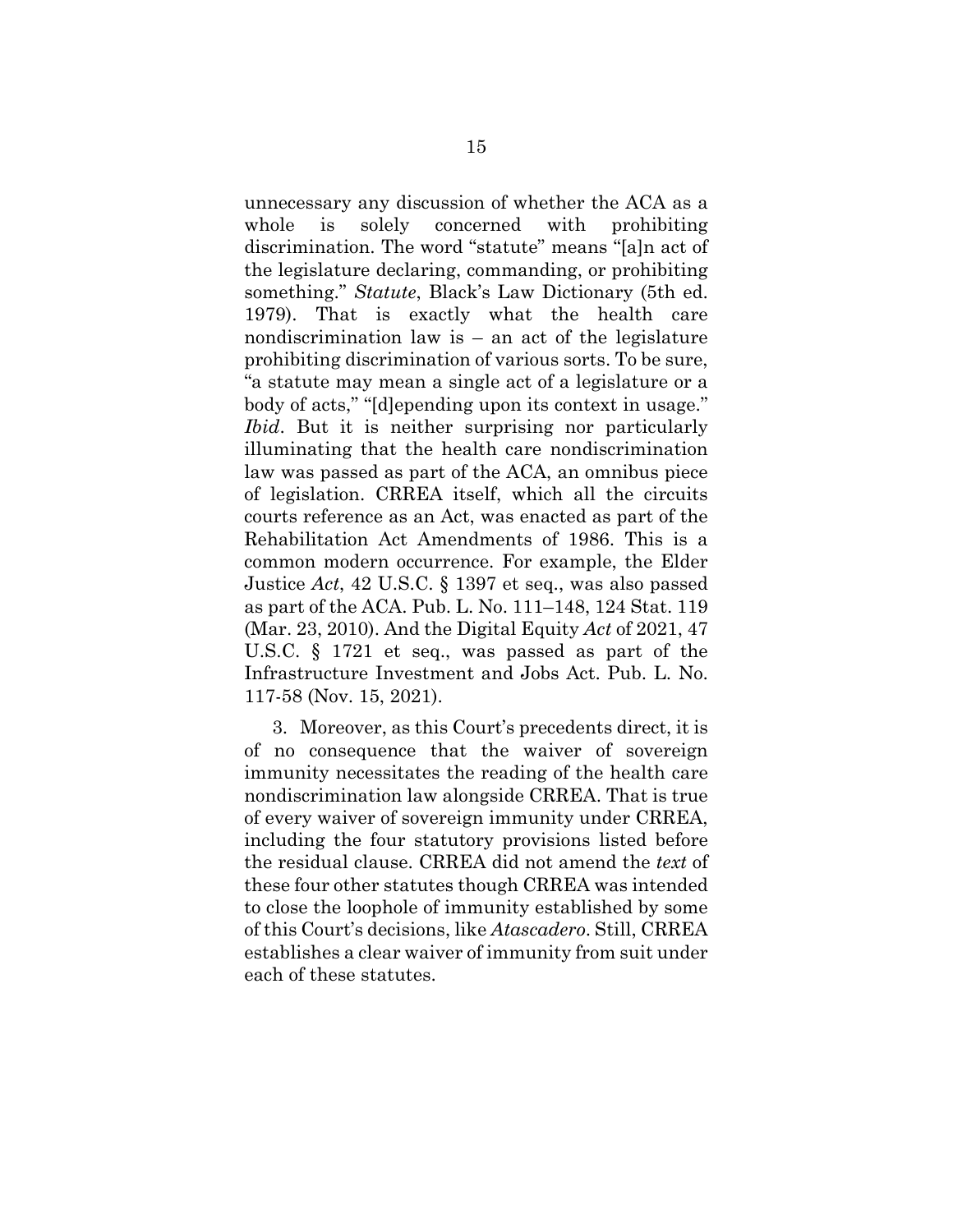unnecessary any discussion of whether the ACA as a whole is solely concerned with prohibiting discrimination. The word "statute" means "[a]n act of the legislature declaring, commanding, or prohibiting something." *Statute*, Black's Law Dictionary (5th ed. 1979). That is exactly what the health care nondiscrimination law is – an act of the legislature prohibiting discrimination of various sorts. To be sure, "a statute may mean a single act of a legislature or a body of acts," "[d]epending upon its context in usage." *Ibid*. But it is neither surprising nor particularly illuminating that the health care nondiscrimination law was passed as part of the ACA, an omnibus piece of legislation. CRREA itself, which all the circuits courts reference as an Act, was enacted as part of the Rehabilitation Act Amendments of 1986. This is a common modern occurrence. For example, the Elder Justice *Act*, 42 U.S.C. § 1397 et seq., was also passed as part of the ACA. Pub. L. No. 111–148, 124 Stat. 119 (Mar. 23, 2010). And the Digital Equity *Act* of 2021, 47 U.S.C. § 1721 et seq., was passed as part of the Infrastructure Investment and Jobs Act. Pub. L. No. 117-58 (Nov. 15, 2021).

3. Moreover, as this Court's precedents direct, it is of no consequence that the waiver of sovereign immunity necessitates the reading of the health care nondiscrimination law alongside CRREA. That is true of every waiver of sovereign immunity under CRREA, including the four statutory provisions listed before the residual clause. CRREA did not amend the *text* of these four other statutes though CRREA was intended to close the loophole of immunity established by some of this Court's decisions, like *Atascadero*. Still, CRREA establishes a clear waiver of immunity from suit under each of these statutes.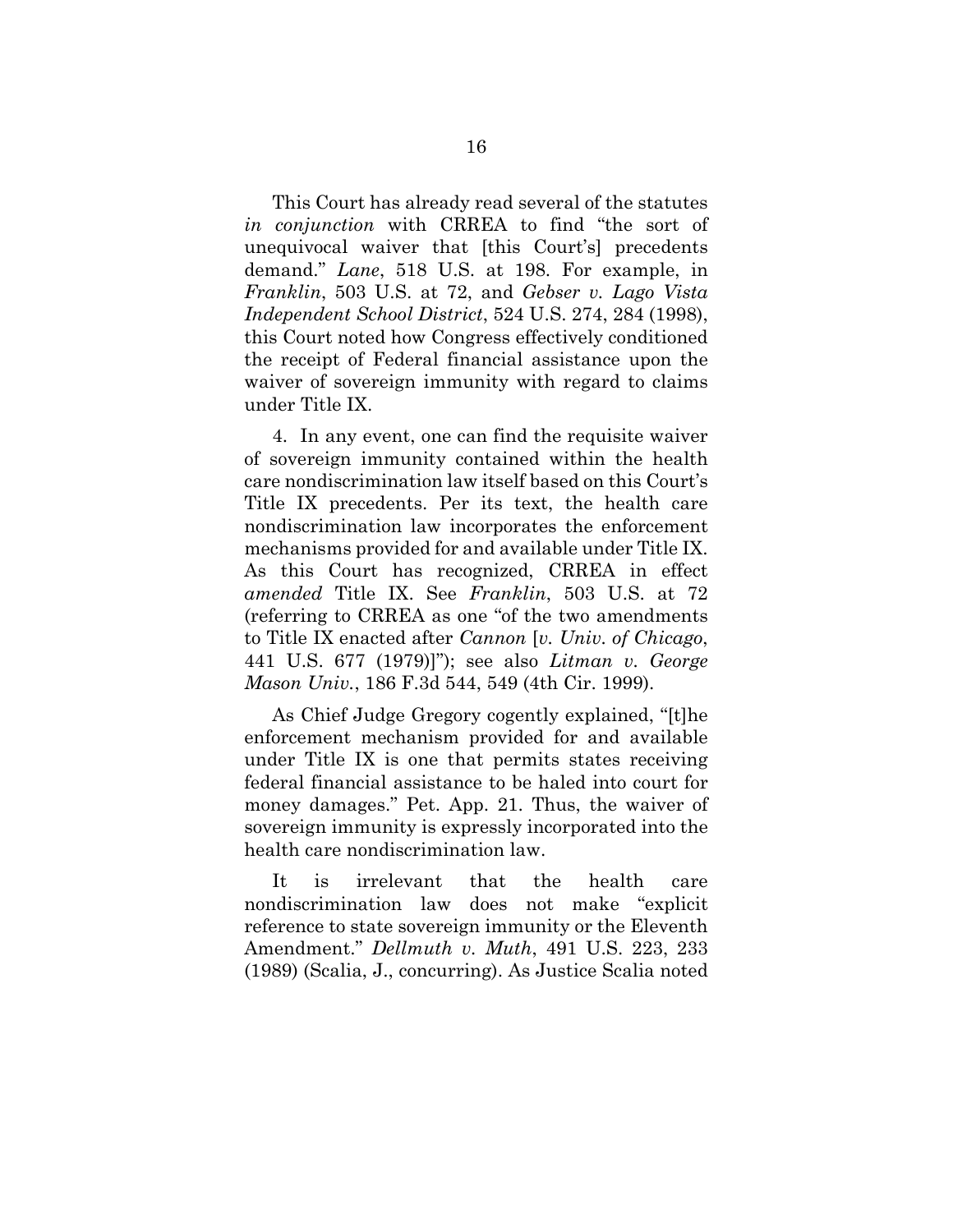This Court has already read several of the statutes *in conjunction* with CRREA to find "the sort of unequivocal waiver that [this Court's] precedents demand." *Lane*, 518 U.S. at 198. For example, in *Franklin*, 503 U.S. at 72, and *Gebser v. Lago Vista Independent School District*, 524 U.S. 274, 284 (1998), this Court noted how Congress effectively conditioned the receipt of Federal financial assistance upon the waiver of sovereign immunity with regard to claims under Title IX.

4. In any event, one can find the requisite waiver of sovereign immunity contained within the health care nondiscrimination law itself based on this Court's Title IX precedents. Per its text, the health care nondiscrimination law incorporates the enforcement mechanisms provided for and available under Title IX. As this Court has recognized, CRREA in effect *amended* Title IX. See *Franklin*, 503 U.S. at 72 (referring to CRREA as one "of the two amendments to Title IX enacted after *Cannon* [*v. Univ. of Chicago*, 441 U.S. 677 (1979)]"); see also *Litman v. George Mason Univ.*, 186 F.3d 544, 549 (4th Cir. 1999).

As Chief Judge Gregory cogently explained, "[t]he enforcement mechanism provided for and available under Title IX is one that permits states receiving federal financial assistance to be haled into court for money damages." Pet. App. 21. Thus, the waiver of sovereign immunity is expressly incorporated into the health care nondiscrimination law.

It is irrelevant that the health care nondiscrimination law does not make "explicit reference to state sovereign immunity or the Eleventh Amendment." *Dellmuth v. Muth*, 491 U.S. 223, 233 (1989) (Scalia, J., concurring). As Justice Scalia noted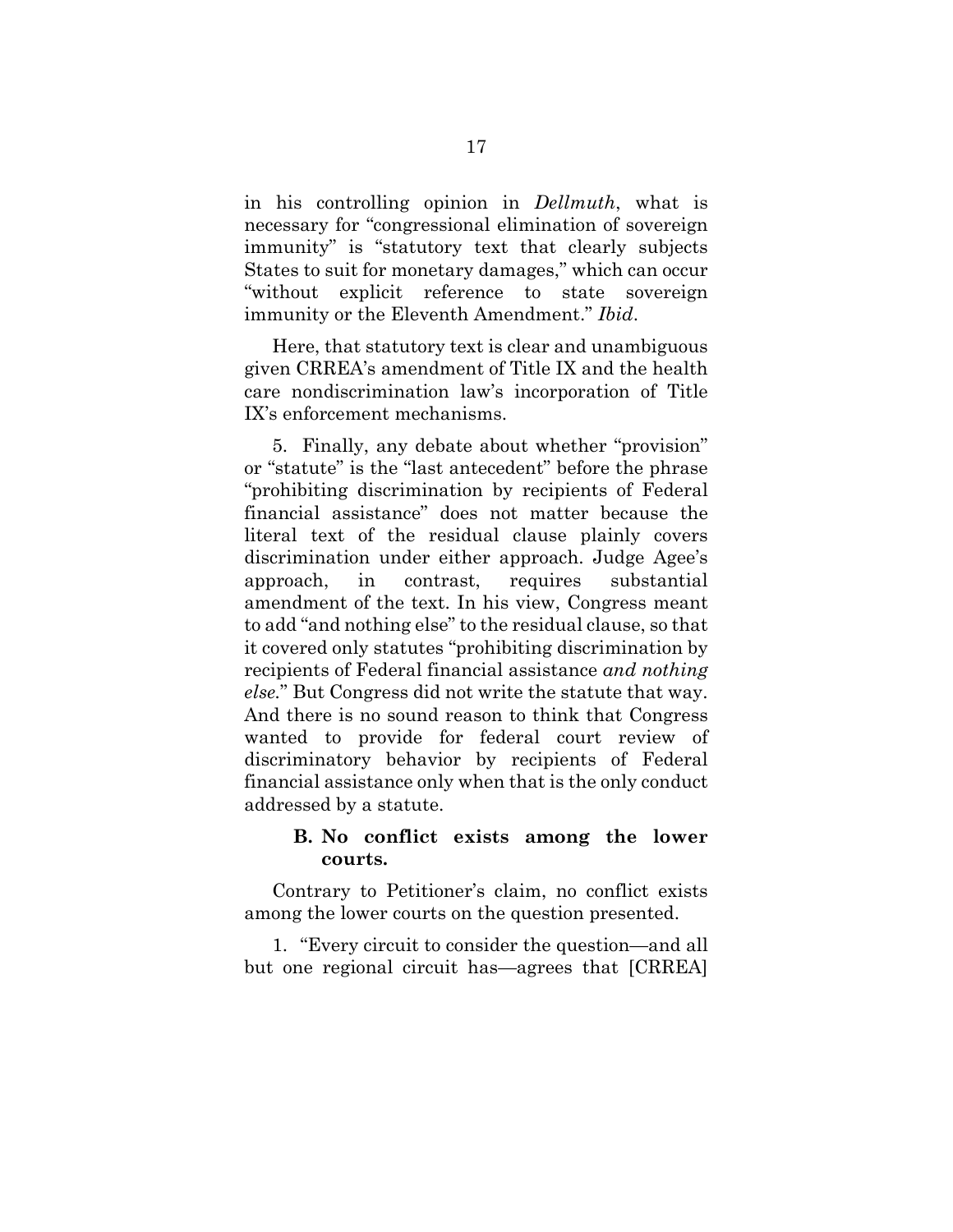in his controlling opinion in *Dellmuth*, what is necessary for "congressional elimination of sovereign immunity" is "statutory text that clearly subjects States to suit for monetary damages," which can occur "without explicit reference to state sovereign immunity or the Eleventh Amendment." *Ibid*.

Here, that statutory text is clear and unambiguous given CRREA's amendment of Title IX and the health care nondiscrimination law's incorporation of Title IX's enforcement mechanisms.

5. Finally, any debate about whether "provision" or "statute" is the "last antecedent" before the phrase "prohibiting discrimination by recipients of Federal financial assistance" does not matter because the literal text of the residual clause plainly covers discrimination under either approach. Judge Agee's approach, in contrast, requires substantial amendment of the text. In his view, Congress meant to add "and nothing else" to the residual clause, so that it covered only statutes "prohibiting discrimination by recipients of Federal financial assistance *and nothing else.*" But Congress did not write the statute that way. And there is no sound reason to think that Congress wanted to provide for federal court review of discriminatory behavior by recipients of Federal financial assistance only when that is the only conduct addressed by a statute.

## <span id="page-25-0"></span>**B. No conflict exists among the lower courts.**

Contrary to Petitioner's claim, no conflict exists among the lower courts on the question presented.

1. "Every circuit to consider the question—and all but one regional circuit has—agrees that [CRREA]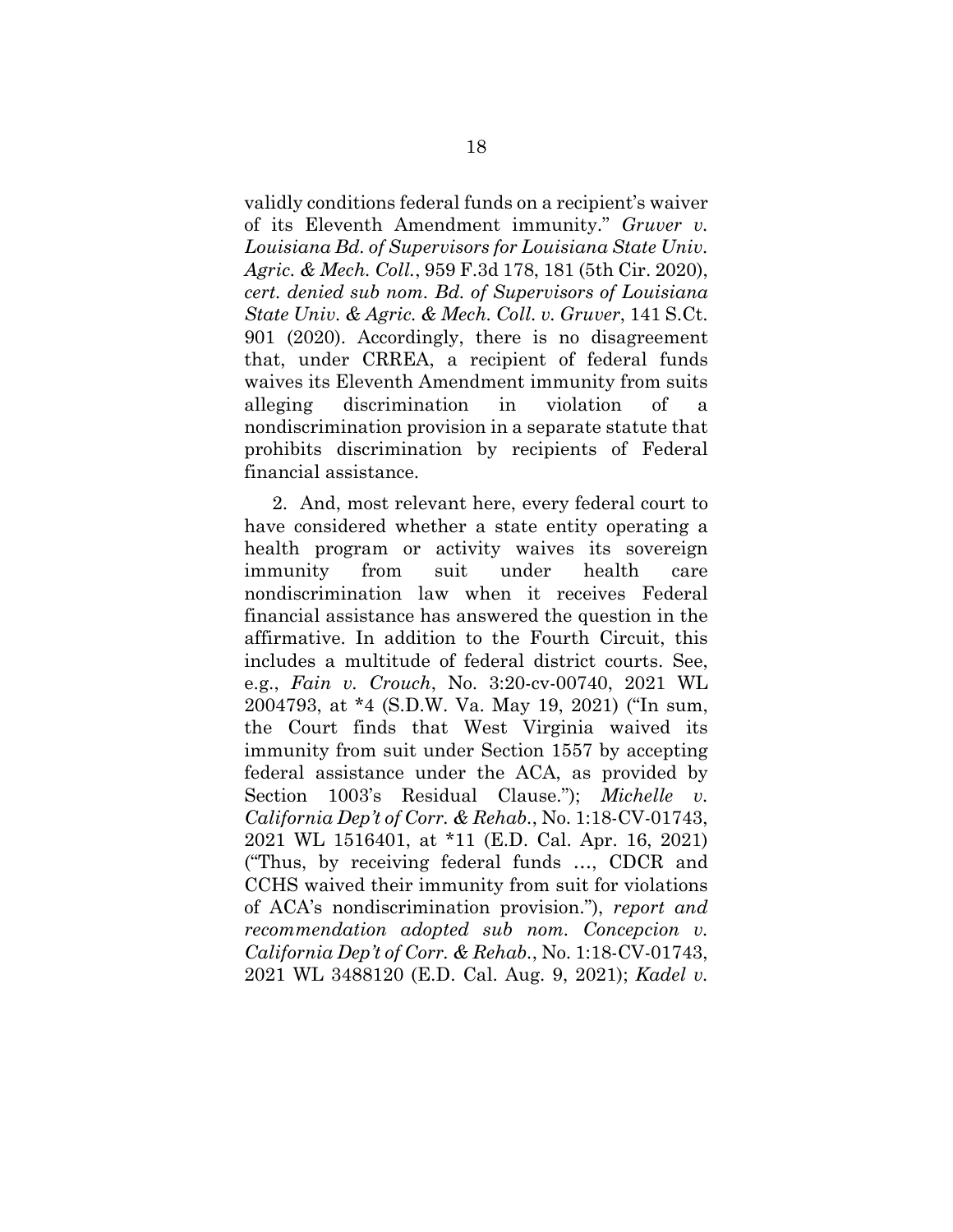validly conditions federal funds on a recipient's waiver of its Eleventh Amendment immunity." *Gruver v. Louisiana Bd. of Supervisors for Louisiana State Univ. Agric. & Mech. Coll.*, 959 F.3d 178, 181 (5th Cir. 2020), *cert. denied sub nom. Bd. of Supervisors of Louisiana State Univ. & Agric. & Mech. Coll. v. Gruver*, 141 S.Ct. 901 (2020). Accordingly, there is no disagreement that, under CRREA, a recipient of federal funds waives its Eleventh Amendment immunity from suits alleging discrimination in violation of a nondiscrimination provision in a separate statute that prohibits discrimination by recipients of Federal financial assistance.

2. And, most relevant here, every federal court to have considered whether a state entity operating a health program or activity waives its sovereign immunity from suit under health care nondiscrimination law when it receives Federal financial assistance has answered the question in the affirmative. In addition to the Fourth Circuit, this includes a multitude of federal district courts. See, e.g., *Fain v. Crouch*, No. 3:20-cv-00740, 2021 WL 2004793, at \*4 (S.D.W. Va. May 19, 2021) ("In sum, the Court finds that West Virginia waived its immunity from suit under Section 1557 by accepting federal assistance under the ACA, as provided by Section 1003's Residual Clause."); *Michelle v. California Dep't of Corr. & Rehab.*, No. 1:18-CV-01743, 2021 WL 1516401, at \*11 (E.D. Cal. Apr. 16, 2021) ("Thus, by receiving federal funds …, CDCR and CCHS waived their immunity from suit for violations of ACA's nondiscrimination provision."), *report and recommendation adopted sub nom. Concepcion v. California Dep't of Corr. & Rehab.*, No. 1:18-CV-01743, 2021 WL 3488120 (E.D. Cal. Aug. 9, 2021); *Kadel v.*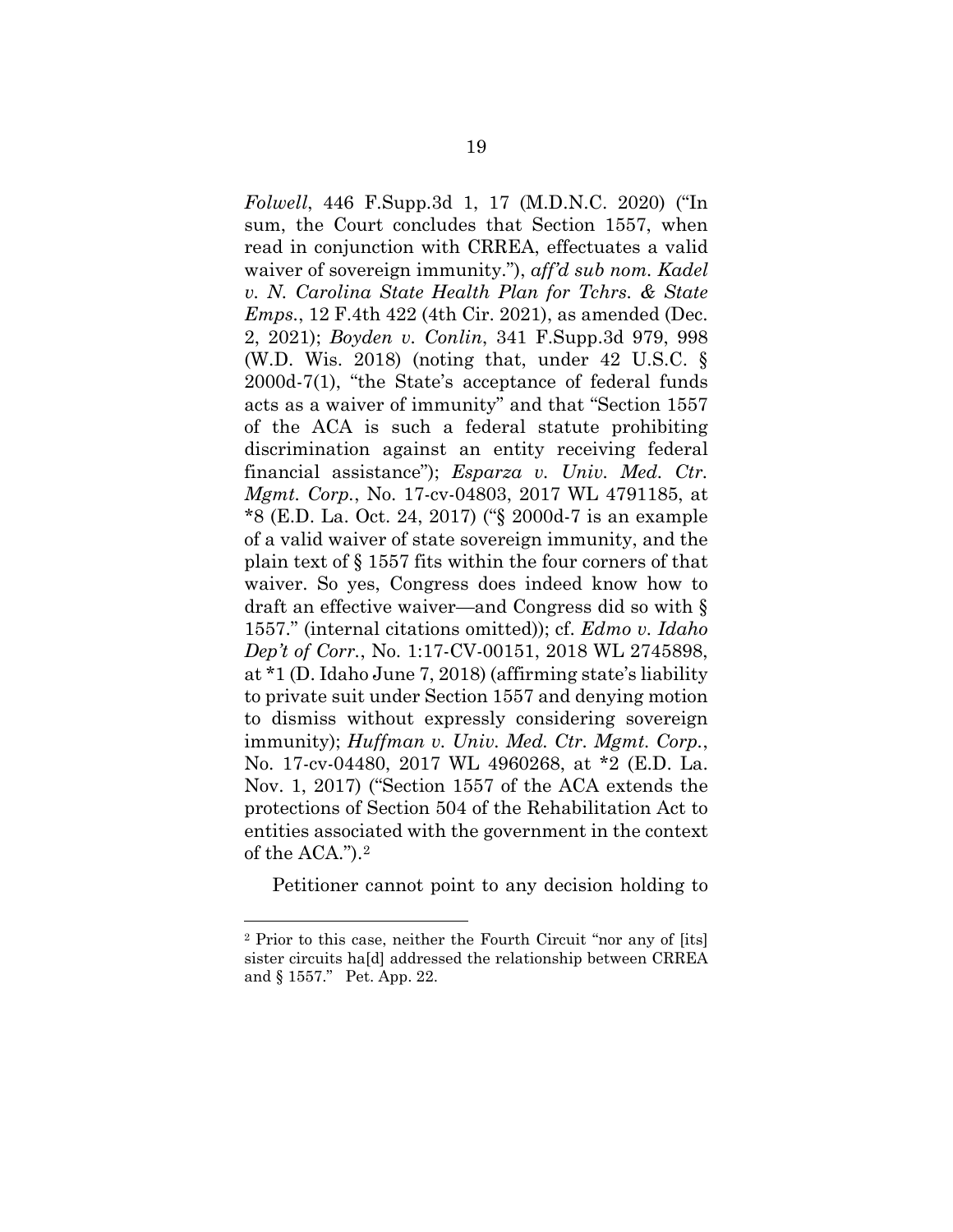*Folwell*, 446 F.Supp.3d 1, 17 (M.D.N.C. 2020) ("In sum, the Court concludes that Section 1557, when read in conjunction with CRREA, effectuates a valid waiver of sovereign immunity."), *aff'd sub nom. Kadel v. N. Carolina State Health Plan for Tchrs. & State Emps.*, 12 F.4th 422 (4th Cir. 2021), as amended (Dec. 2, 2021); *Boyden v. Conlin*, 341 F.Supp.3d 979, 998 (W.D. Wis. 2018) (noting that, under 42 U.S.C. § 2000d-7(1), "the State's acceptance of federal funds acts as a waiver of immunity" and that "Section 1557 of the ACA is such a federal statute prohibiting discrimination against an entity receiving federal financial assistance"); *Esparza v. Univ. Med. Ctr. Mgmt. Corp.*, No. 17-cv-04803, 2017 WL 4791185, at \*8 (E.D. La. Oct. 24, 2017) ("§ 2000d-7 is an example of a valid waiver of state sovereign immunity, and the plain text of § 1557 fits within the four corners of that waiver. So yes, Congress does indeed know how to draft an effective waiver—and Congress did so with § 1557." (internal citations omitted)); cf. *Edmo v. Idaho Dep't of Corr.*, No. 1:17-CV-00151, 2018 WL 2745898, at \*1 (D. Idaho June 7, 2018) (affirming state's liability to private suit under Section 1557 and denying motion to dismiss without expressly considering sovereign immunity); *Huffman v. Univ. Med. Ctr. Mgmt. Corp.*, No. 17-cv-04480, 2017 WL 4960268, at \*2 (E.D. La. Nov. 1, 2017) ("Section 1557 of the ACA extends the protections of Section 504 of the Rehabilitation Act to entities associated with the government in the context of the ACA.")[.2](#page-27-0) 

Petitioner cannot point to any decision holding to

<span id="page-27-0"></span><sup>2</sup> Prior to this case, neither the Fourth Circuit "nor any of [its] sister circuits ha[d] addressed the relationship between CRREA and § 1557." Pet. App. 22.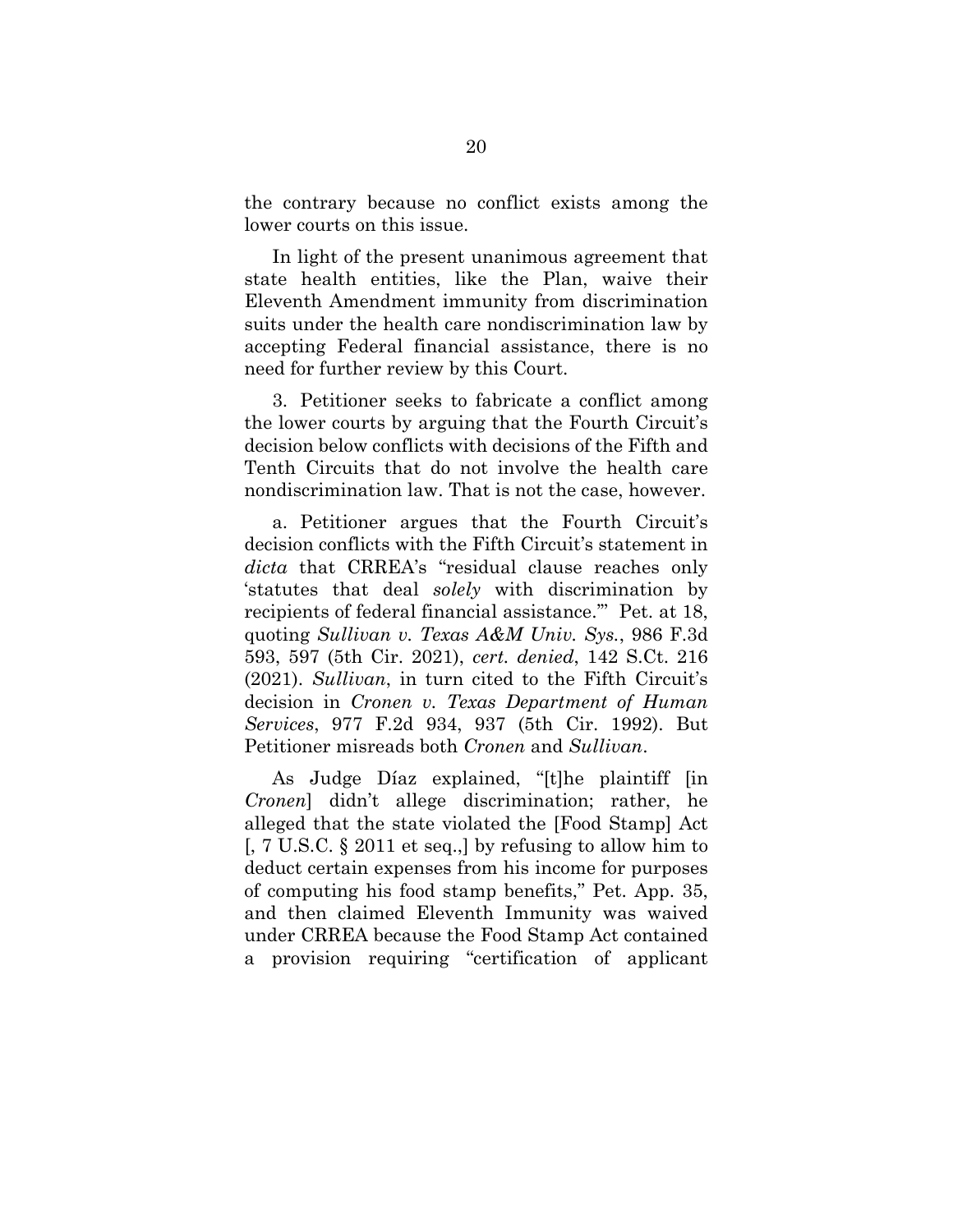the contrary because no conflict exists among the lower courts on this issue.

In light of the present unanimous agreement that state health entities, like the Plan, waive their Eleventh Amendment immunity from discrimination suits under the health care nondiscrimination law by accepting Federal financial assistance, there is no need for further review by this Court.

3. Petitioner seeks to fabricate a conflict among the lower courts by arguing that the Fourth Circuit's decision below conflicts with decisions of the Fifth and Tenth Circuits that do not involve the health care nondiscrimination law. That is not the case, however.

a. Petitioner argues that the Fourth Circuit's decision conflicts with the Fifth Circuit's statement in *dicta* that CRREA's "residual clause reaches only 'statutes that deal *solely* with discrimination by recipients of federal financial assistance.'" Pet. at 18, quoting *Sullivan v. Texas A&M Univ. Sys.*, 986 F.3d 593, 597 (5th Cir. 2021), *cert. denied*, 142 S.Ct. 216 (2021). *Sullivan*, in turn cited to the Fifth Circuit's decision in *Cronen v. Texas Department of Human Services*, 977 F.2d 934, 937 (5th Cir. 1992). But Petitioner misreads both *Cronen* and *Sullivan*.

As Judge Díaz explained, "[t]he plaintiff [in *Cronen*] didn't allege discrimination; rather, he alleged that the state violated the [Food Stamp] Act [, 7 U.S.C. § 2011 et seq.,] by refusing to allow him to deduct certain expenses from his income for purposes of computing his food stamp benefits," Pet. App. 35, and then claimed Eleventh Immunity was waived under CRREA because the Food Stamp Act contained a provision requiring "certification of applicant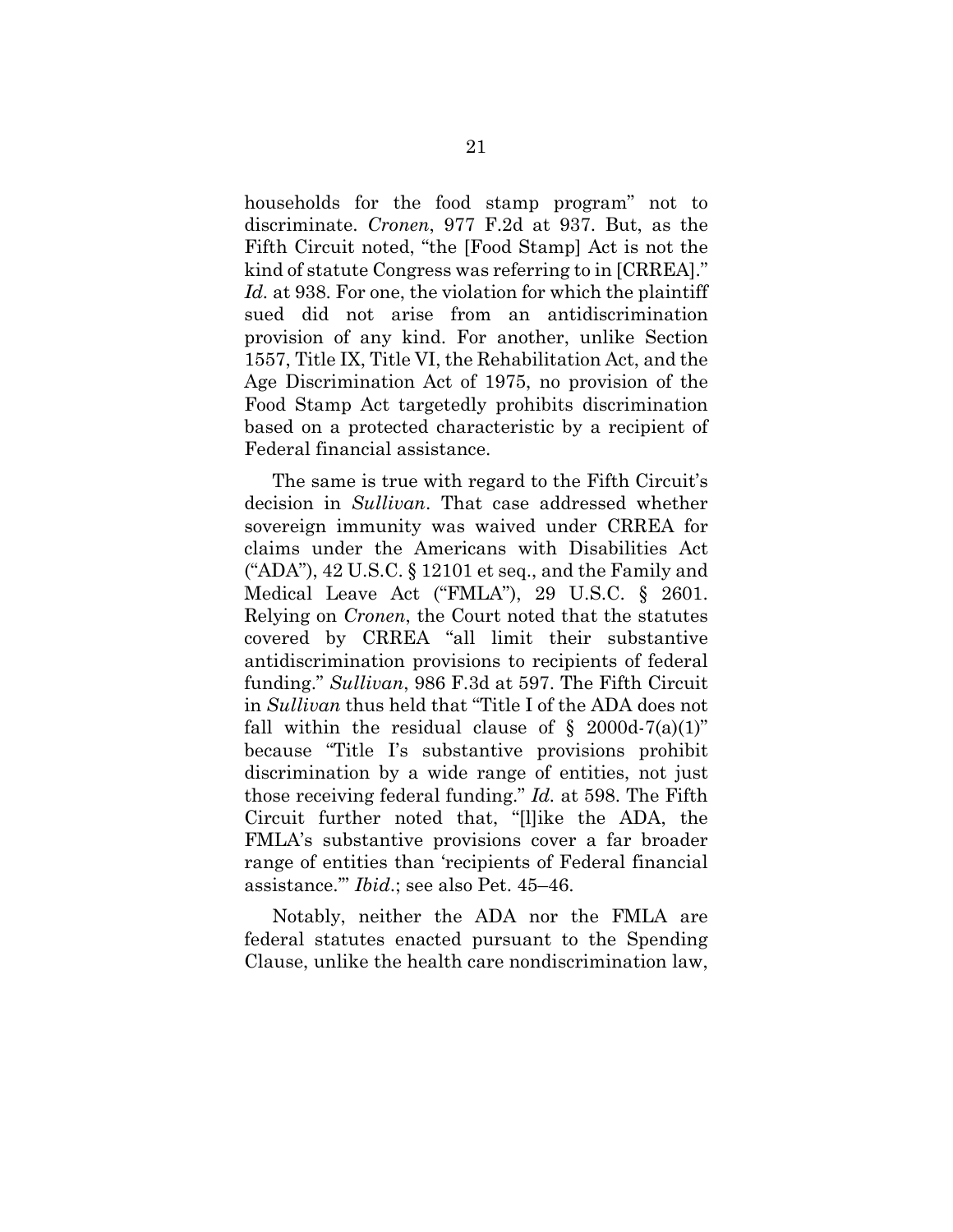households for the food stamp program" not to discriminate. *Cronen*, 977 F.2d at 937. But, as the Fifth Circuit noted, "the [Food Stamp] Act is not the kind of statute Congress was referring to in [CRREA]." *Id.* at 938. For one, the violation for which the plaintiff sued did not arise from an antidiscrimination provision of any kind. For another, unlike Section 1557, Title IX, Title VI, the Rehabilitation Act, and the Age Discrimination Act of 1975, no provision of the Food Stamp Act targetedly prohibits discrimination based on a protected characteristic by a recipient of Federal financial assistance.

The same is true with regard to the Fifth Circuit's decision in *Sullivan*. That case addressed whether sovereign immunity was waived under CRREA for claims under the Americans with Disabilities Act ("ADA"), 42 U.S.C. § 12101 et seq., and the Family and Medical Leave Act ("FMLA"), 29 U.S.C. § 2601. Relying on *Cronen*, the Court noted that the statutes covered by CRREA "all limit their substantive antidiscrimination provisions to recipients of federal funding." *Sullivan*, 986 F.3d at 597. The Fifth Circuit in *Sullivan* thus held that "Title I of the ADA does not fall within the residual clause of  $\S$  2000d-7(a)(1)" because "Title I's substantive provisions prohibit discrimination by a wide range of entities, not just those receiving federal funding." *Id.* at 598. The Fifth Circuit further noted that, "[l]ike the ADA, the FMLA's substantive provisions cover a far broader range of entities than 'recipients of Federal financial assistance.'" *Ibid*.; see also Pet. 45–46.

Notably, neither the ADA nor the FMLA are federal statutes enacted pursuant to the Spending Clause, unlike the health care nondiscrimination law,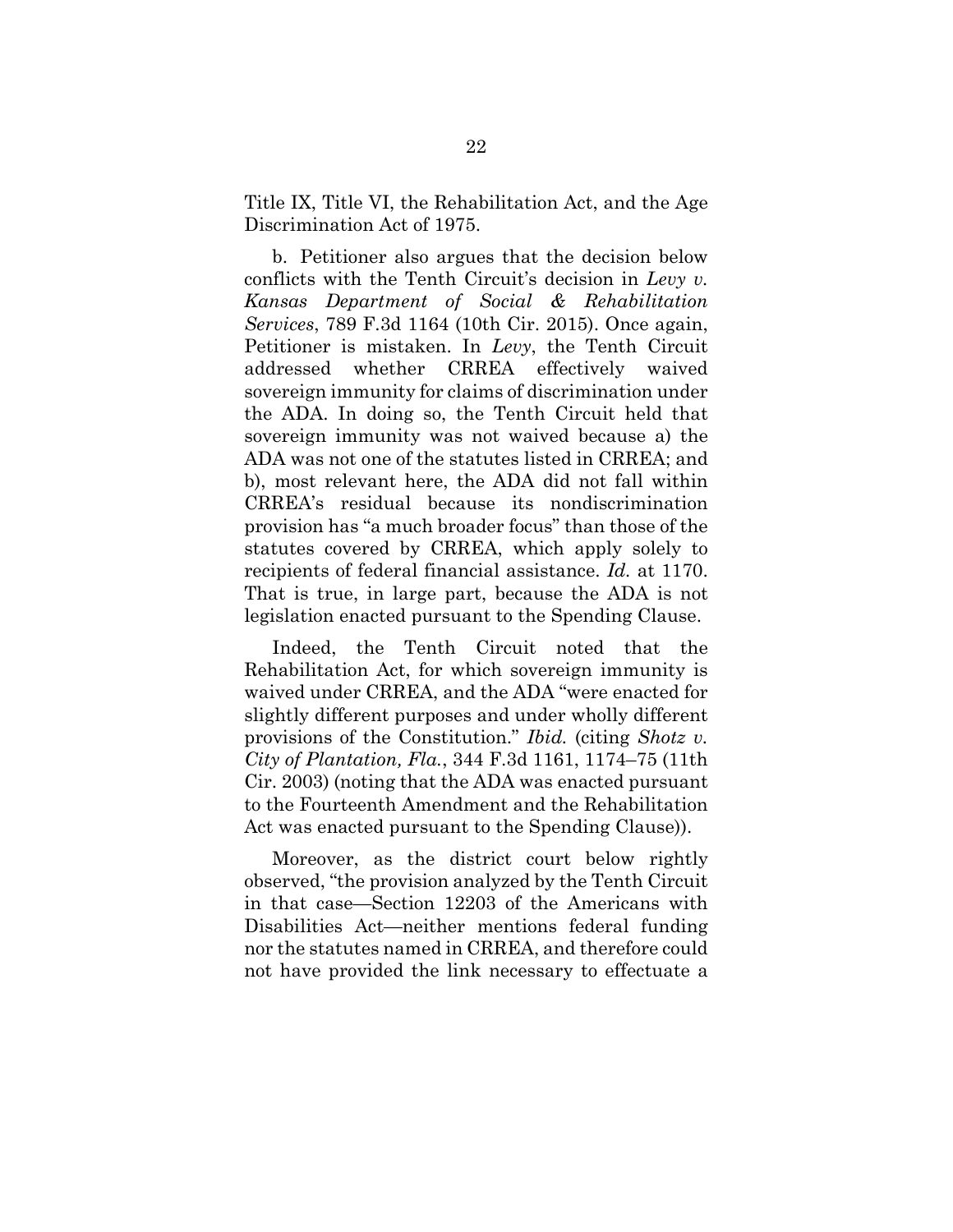Title IX, Title VI, the Rehabilitation Act, and the Age Discrimination Act of 1975.

b. Petitioner also argues that the decision below conflicts with the Tenth Circuit's decision in *Levy v. Kansas Department of Social & Rehabilitation Services*, 789 F.3d 1164 (10th Cir. 2015). Once again, Petitioner is mistaken. In *Levy*, the Tenth Circuit addressed whether CRREA effectively waived sovereign immunity for claims of discrimination under the ADA. In doing so, the Tenth Circuit held that sovereign immunity was not waived because a) the ADA was not one of the statutes listed in CRREA; and b), most relevant here, the ADA did not fall within CRREA's residual because its nondiscrimination provision has "a much broader focus" than those of the statutes covered by CRREA, which apply solely to recipients of federal financial assistance. *Id.* at 1170. That is true, in large part, because the ADA is not legislation enacted pursuant to the Spending Clause.

Indeed, the Tenth Circuit noted that the Rehabilitation Act, for which sovereign immunity is waived under CRREA, and the ADA "were enacted for slightly different purposes and under wholly different provisions of the Constitution." *Ibid.* (citing *Shotz v. City of Plantation, Fla.*, 344 F.3d 1161, 1174–75 (11th Cir. 2003) (noting that the ADA was enacted pursuant to the Fourteenth Amendment and the Rehabilitation Act was enacted pursuant to the Spending Clause)).

Moreover, as the district court below rightly observed, "the provision analyzed by the Tenth Circuit in that case—Section 12203 of the Americans with Disabilities Act—neither mentions federal funding nor the statutes named in CRREA, and therefore could not have provided the link necessary to effectuate a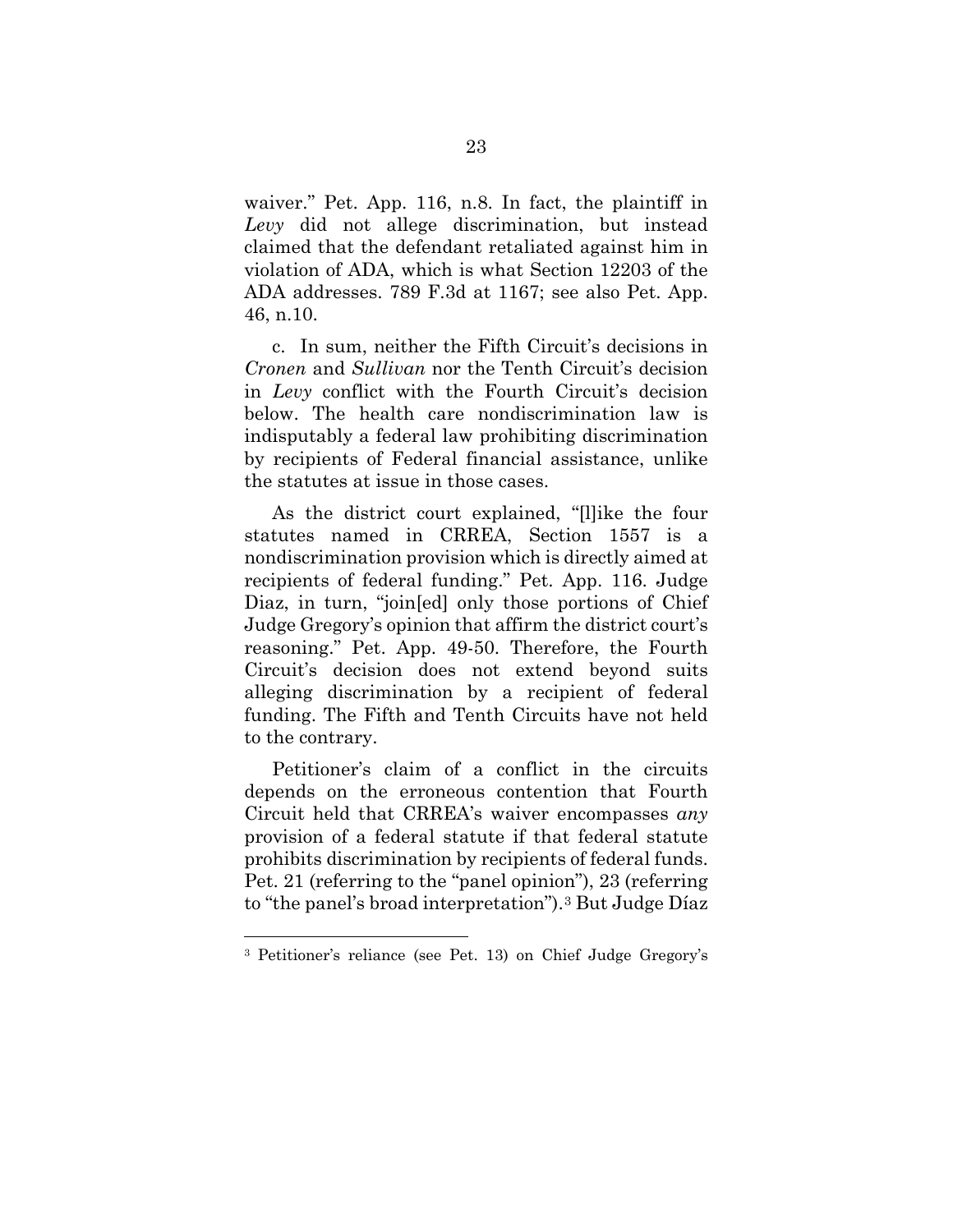waiver." Pet. App. 116, n.8. In fact, the plaintiff in *Levy* did not allege discrimination, but instead claimed that the defendant retaliated against him in violation of ADA, which is what Section 12203 of the ADA addresses. 789 F.3d at 1167; see also Pet. App. 46, n.10.

c. In sum, neither the Fifth Circuit's decisions in *Cronen* and *Sullivan* nor the Tenth Circuit's decision in *Levy* conflict with the Fourth Circuit's decision below. The health care nondiscrimination law is indisputably a federal law prohibiting discrimination by recipients of Federal financial assistance, unlike the statutes at issue in those cases.

As the district court explained, "[l]ike the four statutes named in CRREA, Section 1557 is a nondiscrimination provision which is directly aimed at recipients of federal funding." Pet. App. 116. Judge Diaz, in turn, "join[ed] only those portions of Chief Judge Gregory's opinion that affirm the district court's reasoning." Pet. App. 49-50. Therefore, the Fourth Circuit's decision does not extend beyond suits alleging discrimination by a recipient of federal funding. The Fifth and Tenth Circuits have not held to the contrary.

Petitioner's claim of a conflict in the circuits depends on the erroneous contention that Fourth Circuit held that CRREA's waiver encompasses *any* provision of a federal statute if that federal statute prohibits discrimination by recipients of federal funds. Pet. 21 (referring to the "panel opinion"), 23 (referring to "the panel's broad interpretation").[3](#page-31-0) But Judge Díaz

<span id="page-31-0"></span><sup>3</sup> Petitioner's reliance (see Pet. 13) on Chief Judge Gregory's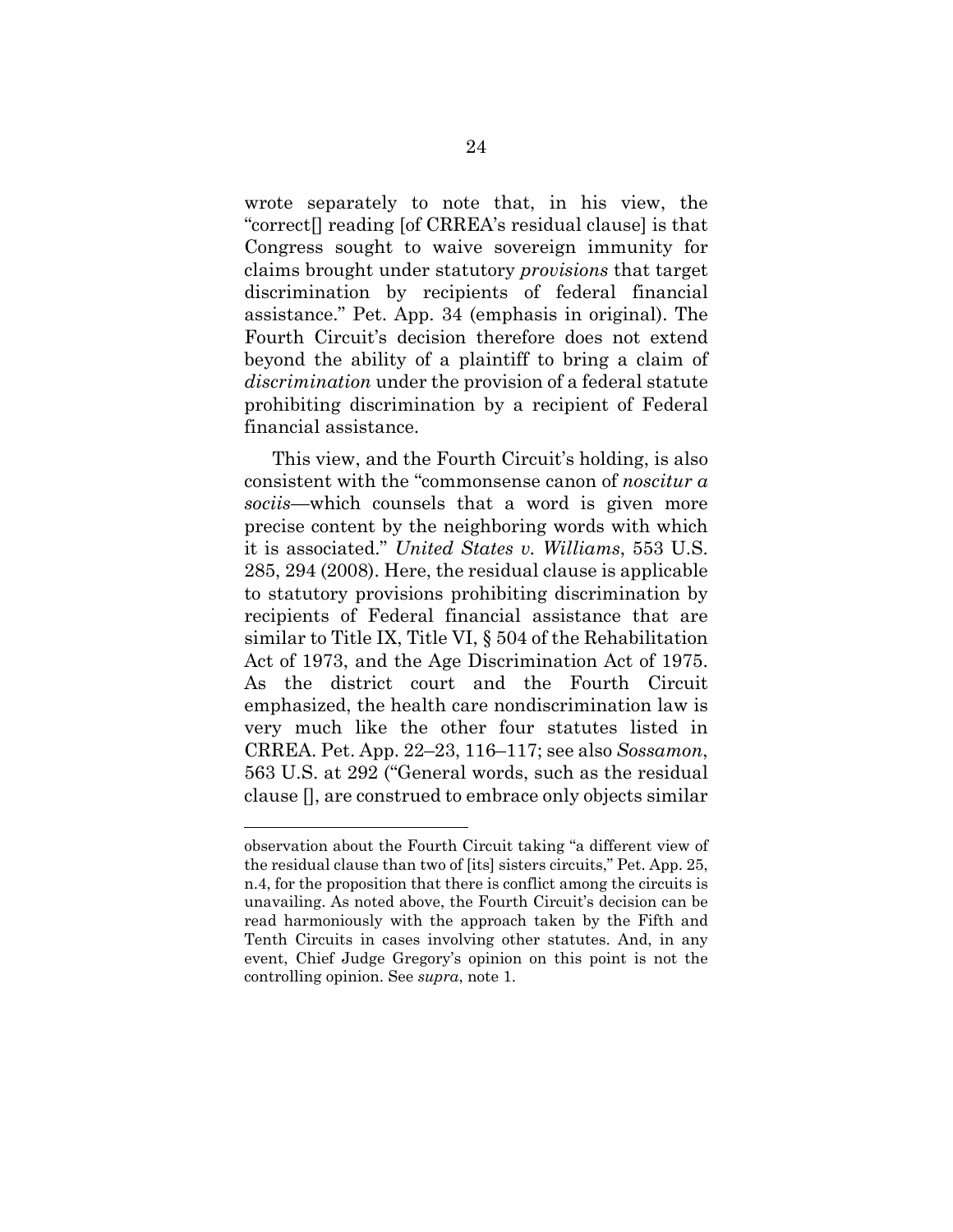wrote separately to note that, in his view, the "correct[] reading [of CRREA's residual clause] is that Congress sought to waive sovereign immunity for claims brought under statutory *provisions* that target discrimination by recipients of federal financial assistance." Pet. App. 34 (emphasis in original). The Fourth Circuit's decision therefore does not extend beyond the ability of a plaintiff to bring a claim of *discrimination* under the provision of a federal statute prohibiting discrimination by a recipient of Federal financial assistance.

This view, and the Fourth Circuit's holding, is also consistent with the "commonsense canon of *noscitur a sociis*—which counsels that a word is given more precise content by the neighboring words with which it is associated." *United States v. Williams*, 553 U.S. 285, 294 (2008). Here, the residual clause is applicable to statutory provisions prohibiting discrimination by recipients of Federal financial assistance that are similar to Title IX, Title VI, § 504 of the Rehabilitation Act of 1973, and the Age Discrimination Act of 1975. As the district court and the Fourth Circuit emphasized, the health care nondiscrimination law is very much like the other four statutes listed in CRREA. Pet. App. 22–23, 116–117; see also *Sossamon*, 563 U.S. at 292 ("General words, such as the residual clause [], are construed to embrace only objects similar

observation about the Fourth Circuit taking "a different view of the residual clause than two of [its] sisters circuits," Pet. App. 25, n.4, for the proposition that there is conflict among the circuits is unavailing. As noted above, the Fourth Circuit's decision can be read harmoniously with the approach taken by the Fifth and Tenth Circuits in cases involving other statutes. And, in any event, Chief Judge Gregory's opinion on this point is not the controlling opinion. See *supra*, note 1.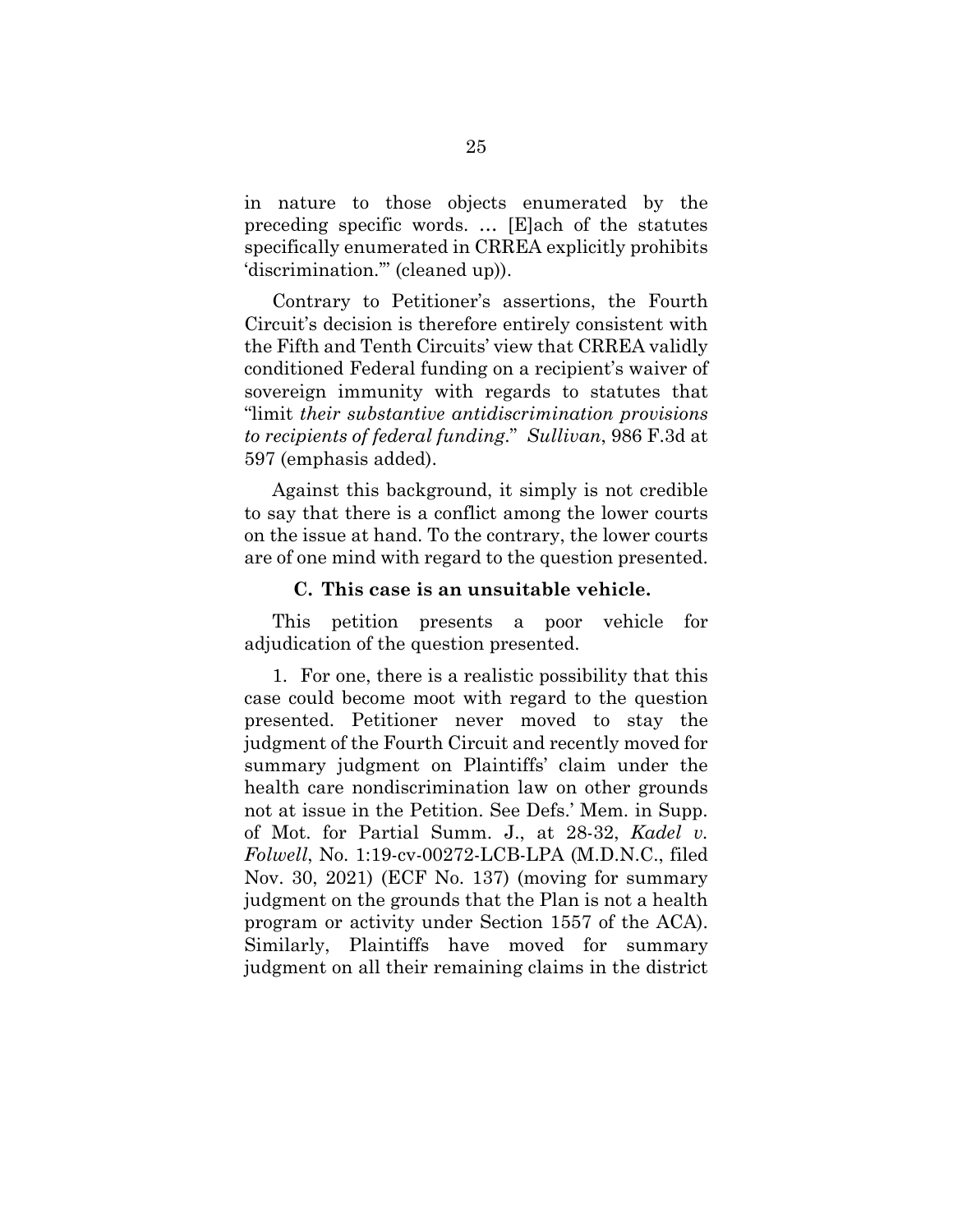in nature to those objects enumerated by the preceding specific words. … [E]ach of the statutes specifically enumerated in CRREA explicitly prohibits 'discrimination.'" (cleaned up)).

Contrary to Petitioner's assertions, the Fourth Circuit's decision is therefore entirely consistent with the Fifth and Tenth Circuits' view that CRREA validly conditioned Federal funding on a recipient's waiver of sovereign immunity with regards to statutes that "limit *their substantive antidiscrimination provisions to recipients of federal funding*." *Sullivan*, 986 F.3d at 597 (emphasis added).

Against this background, it simply is not credible to say that there is a conflict among the lower courts on the issue at hand. To the contrary, the lower courts are of one mind with regard to the question presented.

#### **C. This case is an unsuitable vehicle.**

<span id="page-33-0"></span>This petition presents a poor vehicle for adjudication of the question presented.

1. For one, there is a realistic possibility that this case could become moot with regard to the question presented. Petitioner never moved to stay the judgment of the Fourth Circuit and recently moved for summary judgment on Plaintiffs' claim under the health care nondiscrimination law on other grounds not at issue in the Petition. See Defs.' Mem. in Supp. of Mot. for Partial Summ. J., at 28-32, *Kadel v. Folwell*, No. 1:19-cv-00272-LCB-LPA (M.D.N.C., filed Nov. 30, 2021) (ECF No. 137) (moving for summary judgment on the grounds that the Plan is not a health program or activity under Section 1557 of the ACA). Similarly, Plaintiffs have moved for summary judgment on all their remaining claims in the district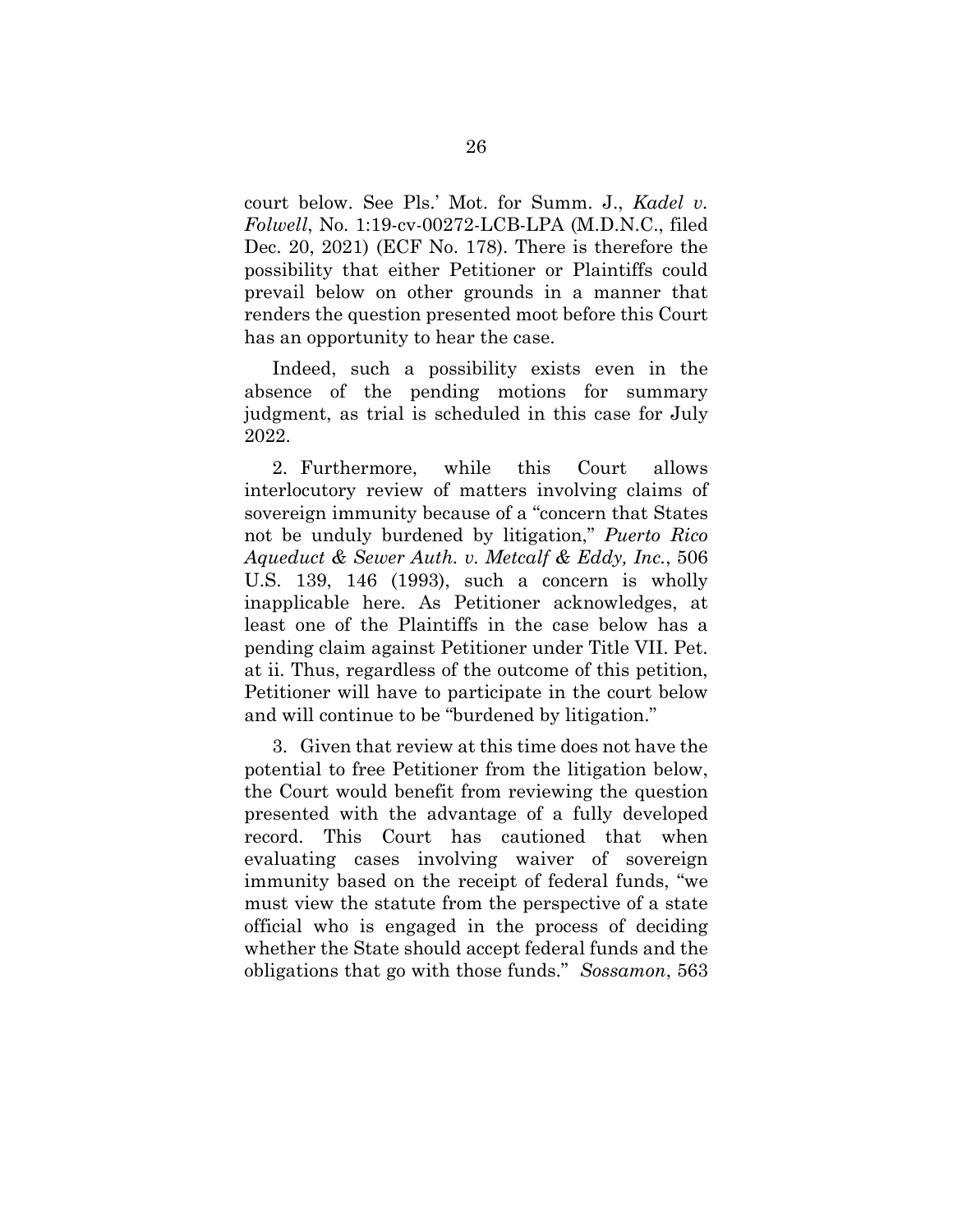court below. See Pls.' Mot. for Summ. J., *Kadel v. Folwell*, No. 1:19-cv-00272-LCB-LPA (M.D.N.C., filed Dec. 20, 2021) (ECF No. 178). There is therefore the possibility that either Petitioner or Plaintiffs could prevail below on other grounds in a manner that renders the question presented moot before this Court has an opportunity to hear the case.

Indeed, such a possibility exists even in the absence of the pending motions for summary judgment, as trial is scheduled in this case for July 2022.

2. Furthermore, while this Court allows interlocutory review of matters involving claims of sovereign immunity because of a "concern that States not be unduly burdened by litigation," *Puerto Rico Aqueduct & Sewer Auth. v. Metcalf & Eddy, Inc.*, 506 U.S. 139, 146 (1993), such a concern is wholly inapplicable here. As Petitioner acknowledges, at least one of the Plaintiffs in the case below has a pending claim against Petitioner under Title VII. Pet. at ii. Thus, regardless of the outcome of this petition, Petitioner will have to participate in the court below and will continue to be "burdened by litigation."

3. Given that review at this time does not have the potential to free Petitioner from the litigation below, the Court would benefit from reviewing the question presented with the advantage of a fully developed record. This Court has cautioned that when evaluating cases involving waiver of sovereign immunity based on the receipt of federal funds, "we must view the statute from the perspective of a state official who is engaged in the process of deciding whether the State should accept federal funds and the obligations that go with those funds." *Sossamon*, 563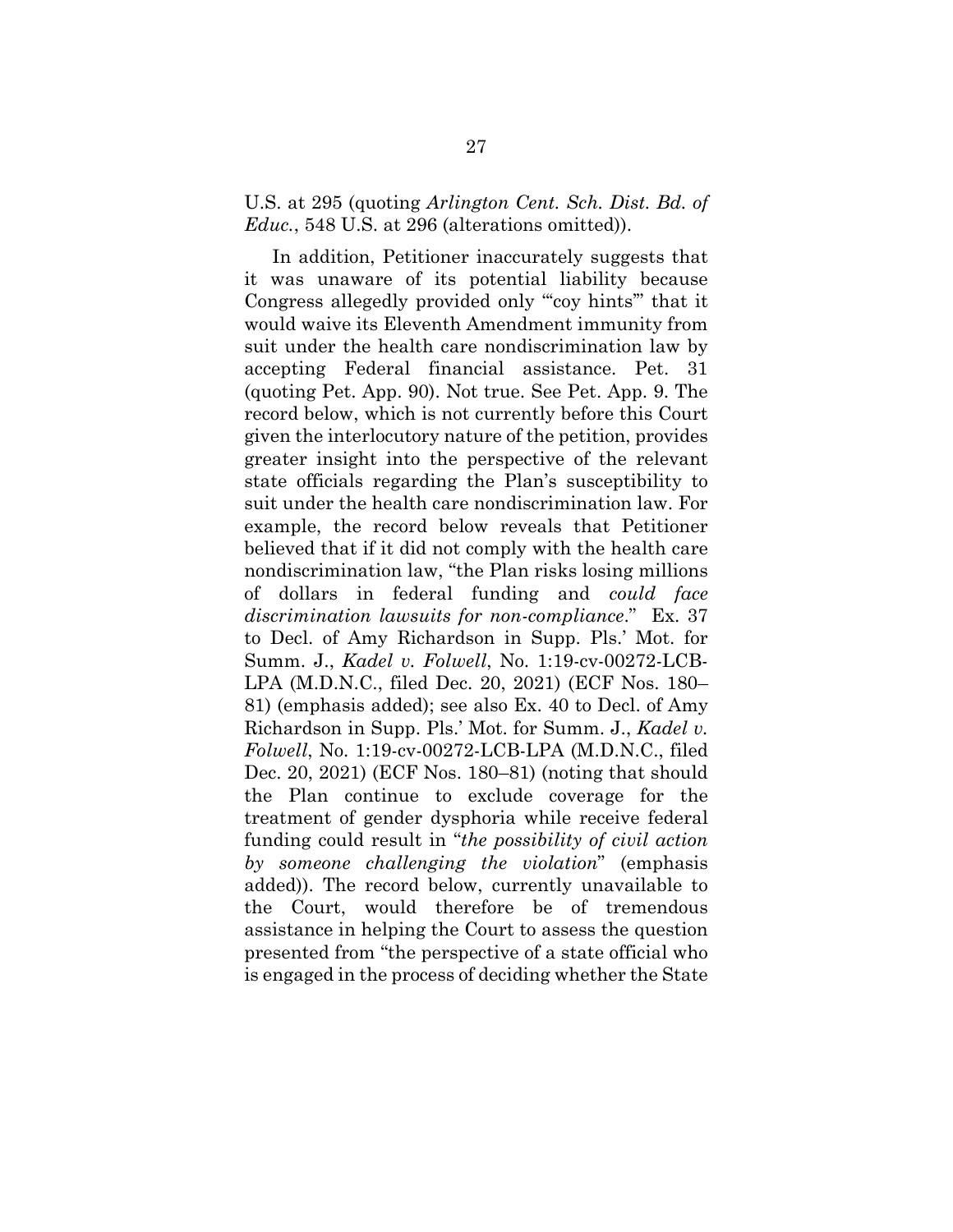### U.S. at 295 (quoting *Arlington Cent. Sch. Dist. Bd. of Educ.*, 548 U.S. at 296 (alterations omitted)).

In addition, Petitioner inaccurately suggests that it was unaware of its potential liability because Congress allegedly provided only "'coy hints'" that it would waive its Eleventh Amendment immunity from suit under the health care nondiscrimination law by accepting Federal financial assistance. Pet. 31 (quoting Pet. App. 90). Not true. See Pet. App. 9. The record below, which is not currently before this Court given the interlocutory nature of the petition, provides greater insight into the perspective of the relevant state officials regarding the Plan's susceptibility to suit under the health care nondiscrimination law. For example, the record below reveals that Petitioner believed that if it did not comply with the health care nondiscrimination law, "the Plan risks losing millions of dollars in federal funding and *could face discrimination lawsuits for non-compliance*." Ex. 37 to Decl. of Amy Richardson in Supp. Pls.' Mot. for Summ. J., *Kadel v. Folwell*, No. 1:19-cv-00272-LCB-LPA (M.D.N.C., filed Dec. 20, 2021) (ECF Nos. 180– 81) (emphasis added); see also Ex. 40 to Decl. of Amy Richardson in Supp. Pls.' Mot. for Summ. J., *Kadel v. Folwell*, No. 1:19-cv-00272-LCB-LPA (M.D.N.C., filed Dec. 20, 2021) (ECF Nos. 180–81) (noting that should the Plan continue to exclude coverage for the treatment of gender dysphoria while receive federal funding could result in "*the possibility of civil action by someone challenging the violation*" (emphasis added)). The record below, currently unavailable to the Court, would therefore be of tremendous assistance in helping the Court to assess the question presented from "the perspective of a state official who is engaged in the process of deciding whether the State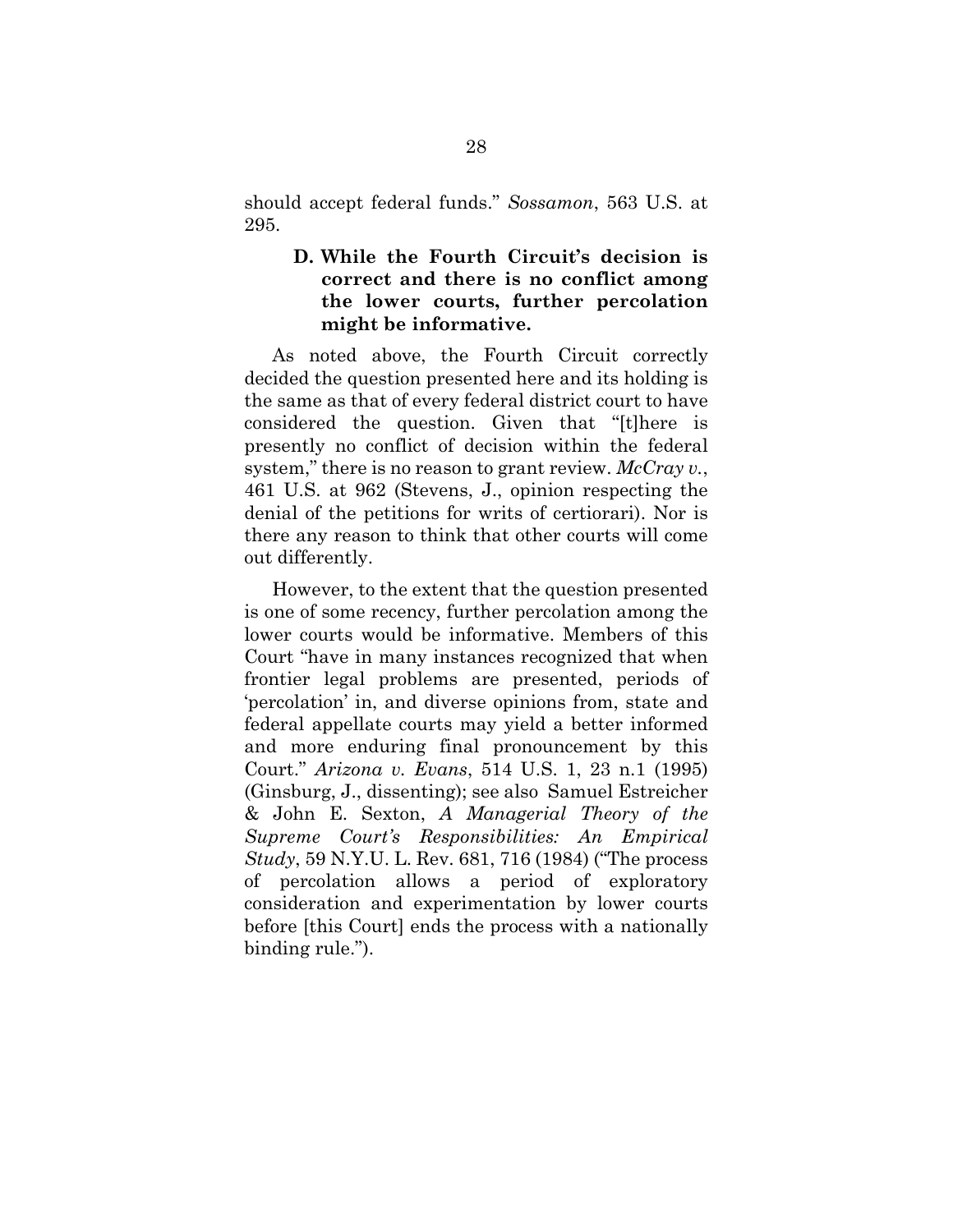should accept federal funds." *Sossamon*, 563 U.S. at 295.

## <span id="page-36-0"></span>**D. While the Fourth Circuit's decision is correct and there is no conflict among the lower courts, further percolation might be informative.**

As noted above, the Fourth Circuit correctly decided the question presented here and its holding is the same as that of every federal district court to have considered the question. Given that "[t]here is presently no conflict of decision within the federal system," there is no reason to grant review. *McCray v.*, 461 U.S. at 962 (Stevens, J., opinion respecting the denial of the petitions for writs of certiorari). Nor is there any reason to think that other courts will come out differently.

However, to the extent that the question presented is one of some recency, further percolation among the lower courts would be informative. Members of this Court "have in many instances recognized that when frontier legal problems are presented, periods of 'percolation' in, and diverse opinions from, state and federal appellate courts may yield a better informed and more enduring final pronouncement by this Court." *Arizona v. Evans*, 514 U.S. 1, 23 n.1 (1995) (Ginsburg, J., dissenting); see also Samuel Estreicher & John E. Sexton, *A Managerial Theory of the Supreme Court's Responsibilities: An Empirical Study*, 59 N.Y.U. L. Rev. 681, 716 (1984) ("The process of percolation allows a period of exploratory consideration and experimentation by lower courts before [this Court] ends the process with a nationally binding rule.").